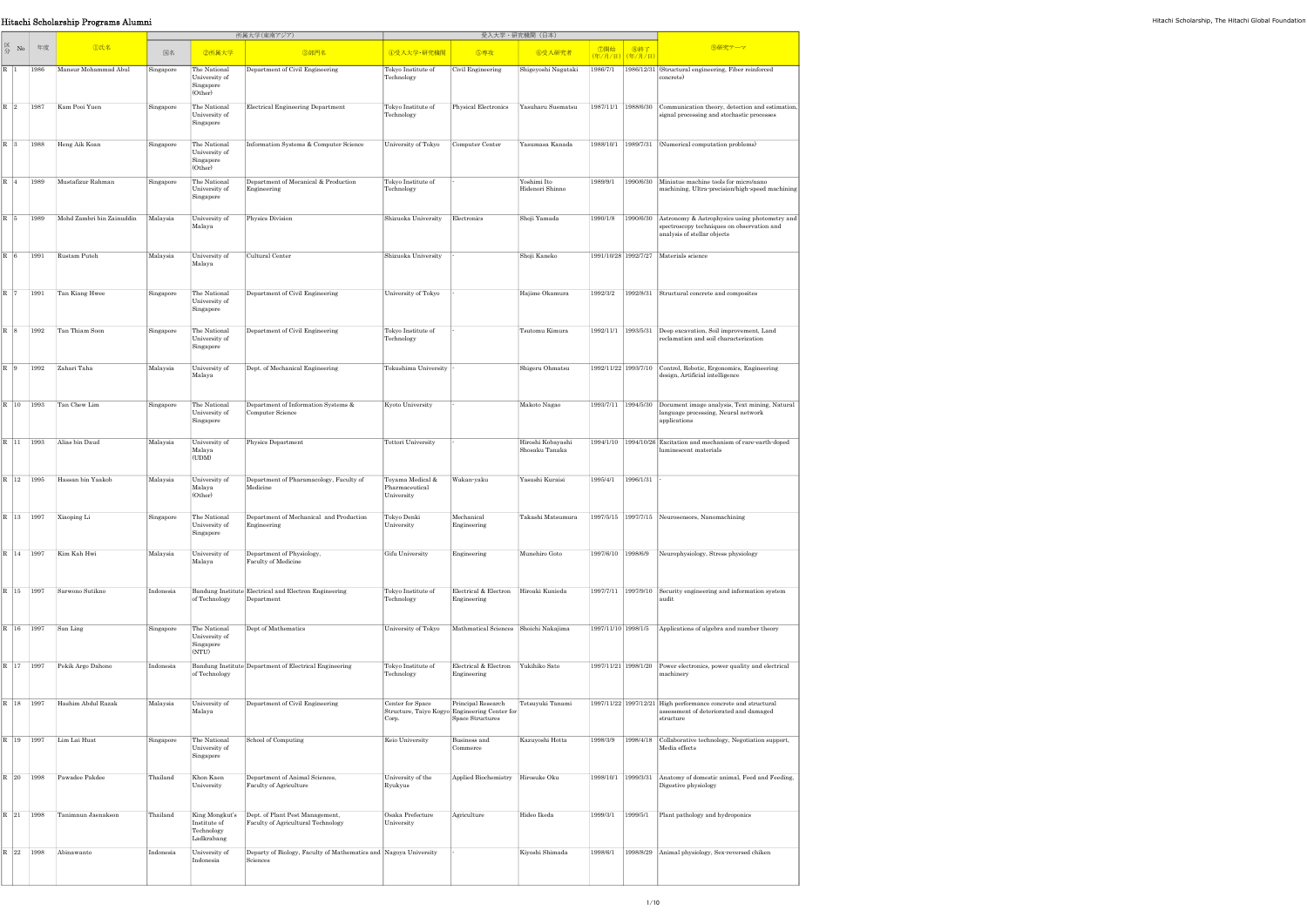|                                             | Hitachi Scholarship Programs Alumni                                                       |           |                                                       |                                                                              |                                                  |                                                                                                            |                                        |                                     |  |                                                                                                                                               |
|---------------------------------------------|-------------------------------------------------------------------------------------------|-----------|-------------------------------------------------------|------------------------------------------------------------------------------|--------------------------------------------------|------------------------------------------------------------------------------------------------------------|----------------------------------------|-------------------------------------|--|-----------------------------------------------------------------------------------------------------------------------------------------------|
|                                             |                                                                                           |           |                                                       | 所属大学(東南アジア)                                                                  |                                                  | 受入大学・研究機関(日本)                                                                                              |                                        |                                     |  |                                                                                                                                               |
| $\mathbb{Z}_{\overleftrightarrow{P}}$ No 年度 | <b></b> ①氏名                                                                               | 国名        | 2所属大学                                                 | 3部門名                                                                         | 4受入大学·研究機関                                       | 5専攻                                                                                                        | 6受入研究者                                 | │ ⑦開始 │ ⑧終了 │<br>│(年/月/日) (年/月/日) │ |  | 9研究テーマ                                                                                                                                        |
| R 1 1986                                    | Mansur Mohammad Abul                                                                      | Singapore | The National<br>University of<br>Singapore<br>(Other) | Department of Civil Engineering                                              | Tokyo Institute of<br>Technology                 | Civil Engineering                                                                                          | Shigeyoshi Nagataki                    |                                     |  | 1986/7/1 1986/12/31 (Structural engineering, Fiber reinforced<br>concrete)                                                                    |
|                                             | R 2 1987 Kam Pooi Yuen                                                                    | Singapore | The National<br>University of<br>Singapore            | Electrical Engineering Department                                            | Tokyo Institute of<br>Technology                 |                                                                                                            | Physical Electronics Yasuharu Suematsu |                                     |  | 1987/11/1 1988/6/30 Communication theory, detection and estimation,<br>signal processing and stochastic processes                             |
|                                             | $\boxed{\text{R} \quad \text{3} \quad \quad \text{1988} \quad \text{Heng Aik Koan}}$      | Singapore | The National<br>University of<br>Singapore<br>(Other) | Information Systems & Computer Science                                       | University of Tokyo Computer Center              |                                                                                                            | Yasumasa Kanada                        |                                     |  | 1988/10/1 1989/7/31 (Numerical computation problems)                                                                                          |
| R 4 1989                                    | Mustafizur Rahman                                                                         | Singapore | The National<br>University of<br>Singapore            | Department of Mecanical & Production<br>Engineering                          | Tokyo Institute of<br>Technology                 |                                                                                                            | Yoshimi Ito<br>Hidenori Shinno         |                                     |  | 1989/9/1 1990/6/30 Miniatue machine tools for micro/nano<br>machining, Ultra-precision/high-speed machining                                   |
|                                             | R 5   1989   Mohd Zambri bin Zainuddin                                                    | Malaysia  | University of<br>Malaya                               | Physics Division                                                             | Shizuoka University Electronics                  |                                                                                                            | Shoji Yamada                           |                                     |  | 1990/1/8 1990/6/30 Astronomy & Astrophysics using photometry and<br>spectroscopy techniques on observation and<br>analysis of stellar objects |
|                                             | $\overline{R}$ 6 1991 Rustam Puteh                                                        | Malaysia  | University of<br>Malaya                               | Cultural Center                                                              | Shizuoka University                              |                                                                                                            | Shoji Kaneko                           |                                     |  | 1991/10/28 1992/7/27 Materials science                                                                                                        |
|                                             | $\overline{R}$ 7 1991 Tan Kiang Hwee                                                      | Singapore | The National<br>University of<br>Singapore            | Department of Civil Engineering                                              | University of Tokyo                              |                                                                                                            | Hajime Okamura                         |                                     |  | 1992/3/2 1992/8/31 Structural concrete and composites                                                                                         |
|                                             | $\overline{R}$ 8 1992 Tan Thiam Soon                                                      | Singapore | The National<br>University of<br>Singapore            | Department of Civil Engineering                                              | Tokyo Institute of<br>Technology                 |                                                                                                            | Tsutomu Kimura                         |                                     |  | 1992/11/1   1993/5/31 Deep excavation, Soil improvement, Land<br>reclamation and soil characterization                                        |
|                                             | $\begin{array}{ c c c }\n\hline\n\mathbf{R} & 9 & 1992 & \text{Zahari Taha}\n\end{array}$ | Malaysia  | University of<br>Malaya                               | Dept. of Mechanical Engineering                                              | Tokushima University                             |                                                                                                            | Shigeru Ohmatsu                        |                                     |  | 1992/11/22 1993/7/10 Control, Robotic, Ergonomics, Engineering<br>design, Artificial intelligence                                             |
|                                             | $R$ 10 1993 Tan Chew Lim                                                                  | Singapore | The National<br>University of<br>Singapore            | Department of Information Systems &<br>Computer Science                      | Kyoto University                                 |                                                                                                            | Makoto Nagao                           |                                     |  | 1993/7/11   1994/5/30   Document image analysis, Text mining, Natural<br>language processing, Neural network<br>applications                  |
|                                             | R 11 1993 Alias bin Daud                                                                  | Malaysia  | University of<br>Malaya<br>(UDM)                      | Physics Department                                                           | Tottori University                               |                                                                                                            | Hiroshi Kobayashi<br>Shosaku Tanaka    |                                     |  | 1994/1/10 1994/10/26 Excitation and mechanism of rare-earth-doped<br>luminescent materials                                                    |
|                                             | R 12 1995 Hassan bin Yaakob                                                               | Malaysia  | University of<br>Malaya<br>(Other)                    | Department of Pharamacology, Faculty of<br>Medicine                          | Toyama Medical &<br>Pharmaceutical<br>University | Wakan yaku                                                                                                 | Yasushi Kuraisi                        | 1995/4/1 1996/1/31                  |  |                                                                                                                                               |
|                                             | R   13   1997   Xiaoping Li                                                               | Singapore | The National<br>University of<br>Singapore            | Department of Mechanical and Production<br>Engineering                       | Tokyo Denki<br>University                        | Mechanical<br>Engineering                                                                                  |                                        |                                     |  | Takashi Matsumura 1997/5/15 1997/7/15 Neurosensors, Nanomachining                                                                             |
|                                             | R   14   1997   Kim Kah Hwi                                                               | Malaysia  | University of<br>Malaya                               | Department of Physiology,<br>Faculty of Medicine                             | Gifu University                                  | Engineering                                                                                                | Munehiro Goto                          |                                     |  | 1997/6/10 1998/6/9 Neurophysiology, Stress physiology                                                                                         |
|                                             | R 15 1997 Sarwono Sutikno                                                                 | Indonesia | of Technology Department                              | Bandung Institute Electrical and Electron Engineering                        | Tokyo Institute of<br>Technology                 | Electrical & Electron Hiroaki Kunieda<br>Engineering                                                       |                                        |                                     |  | 1997/7/11 1997/9/10 Security engineering and information system<br>audit                                                                      |
|                                             | R 16   1997   San Ling                                                                    | Singapore | The National<br>University of<br>Singapore<br>(NTU)   | Dept of Mathematics                                                          |                                                  | University of Tokyo   Mathmatical Sciences   Shoichi Nakajima                                              |                                        |                                     |  | 1997/11/10 1998/1/5 Applications of algebra and number theory                                                                                 |
|                                             | R 17 1997 Pekik Argo Dahono                                                               | Indonesia | of Technology                                         | Bandung Institute Department of Electrical Engineering                       | Tokyo Institute of<br>Technology                 | Electrical & Electron Yukihiko Sato<br>Engineering                                                         |                                        |                                     |  | 1997/11/21 1998/1/20 Power electronics, power quality and electrical<br>machinery                                                             |
|                                             | R 18 1997 Hashim Abdul Razak                                                              | Malaysia  | University of<br>Malaya                               | Department of Civil Engineering                                              | Center for Space<br>Corp.                        | Principal Research   Tetsuyuki Tanami<br>Structure, Taiyo Kogyo Engineering Center for<br>Space Structures |                                        |                                     |  | $1997/11/22$ 1997/12/21 High performance concrete and structural<br>assessment of deteriorated and damaged<br>structure                       |
|                                             | R   19   1997   Lim Lai Huat                                                              | Singapore | The National<br>University of<br>Singapore            | School of Computing                                                          | Keio University                                  | Business and<br>Commerce                                                                                   | Kazuyoshi Hotta                        |                                     |  | 1998/3/9 1998/4/18 Collaborative technology, Negotiation support,<br>Media effects                                                            |
|                                             | R 20 1998 Pawadee Pakdee                                                                  | Thailand  | Khon Kaen<br>University                               | Department of Animal Sciences,<br>Faculty of Agriculture                     | University of the<br>Ryukyus                     | Applied Biochemistry Hirosuke Oku                                                                          |                                        |                                     |  | 1998/10/1 1999/3/31 Anatomy of domestic animal, Feed and Feeding,<br>Digestive physiology                                                     |
|                                             | $\overline{R}$ 21   1998   Tanimnun Jaenakson                                             | Thailand  | Institute of<br>Technology<br>Ladkrabang              | Faculty of Agricultural Technology                                           | Osaka Prefecture<br>University                   | Agriculture                                                                                                | Hideo Ikeda                            |                                     |  | 1999/3/1 1999/5/1 Plant pathology and hydroponics                                                                                             |
| R 22 1998                                   | Abinawanto                                                                                | Indonesia | University of<br>Indonesia                            | Departy of Biology, Faculty of Mathematics and Nagoya University<br>Sciences |                                                  |                                                                                                            | Kiyoshi Shimada                        |                                     |  | 1998/6/1 1998/8/29 Animal physiology, Sex-reversed chiken                                                                                     |
|                                             |                                                                                           |           |                                                       |                                                                              |                                                  |                                                                                                            |                                        |                                     |  |                                                                                                                                               |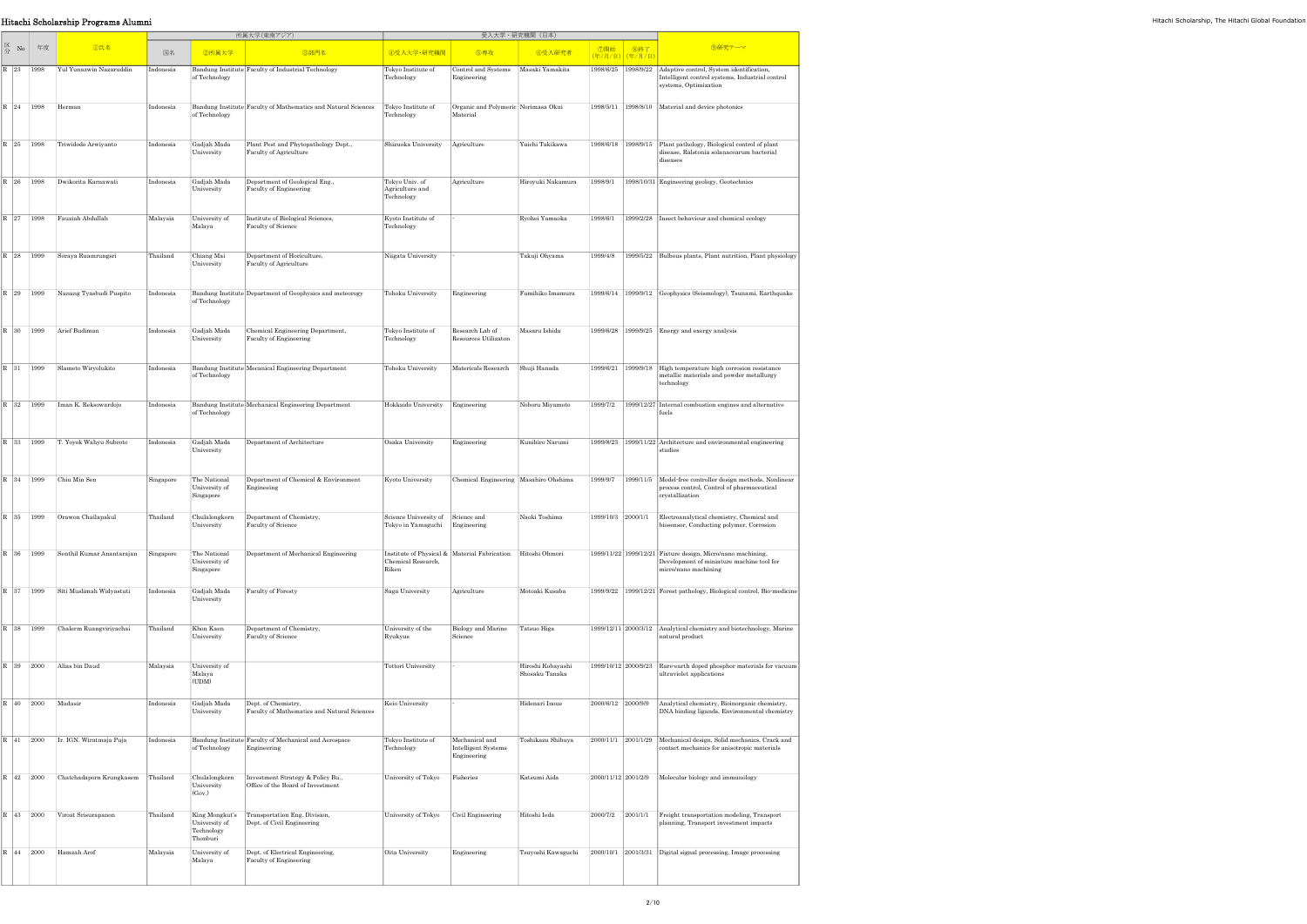| Hitachi Scholarship Programs Alumni |                                                                                                                                       |                                        |           |                                            |                                                                            |                                                                     |                                                             |                                     |                    |                                             |                                                                                                                                          |  |
|-------------------------------------|---------------------------------------------------------------------------------------------------------------------------------------|----------------------------------------|-----------|--------------------------------------------|----------------------------------------------------------------------------|---------------------------------------------------------------------|-------------------------------------------------------------|-------------------------------------|--------------------|---------------------------------------------|------------------------------------------------------------------------------------------------------------------------------------------|--|
|                                     |                                                                                                                                       |                                        |           |                                            | 所属大学(東南アジア)                                                                |                                                                     |                                                             | 受入大学・研究機関(日本)                       |                    |                                             |                                                                                                                                          |  |
|                                     | $\begin{array}{c c}\n\hline\n\mathbb{K} & \mathbb{N}\n\end{array}$ $\begin{array}{c c}\n\hline\n\mathbb{K} & \mathbb{R}\n\end{array}$ | ①氏名                                    | 国名        | ②所属大学                                      | 3部門名                                                                       | 4受入大学·研究機関                                                          | 5専攻                                                         | 6受入研究者                              |                    | │ ⑦開始 │ ⑧終了<br><mark>(年/月/日)</mark> (年/月/日) | 9研究テーマ                                                                                                                                   |  |
|                                     | R 23 1998                                                                                                                             | Yul Yunazwin Nazaruddin                | Indonesia | of Technology                              | Bandung Institute Faculty of Industrial Technology                         | Tokyo Institute of<br>Technology                                    | Control and Systems   Masaki Yamakita<br>Engineering        |                                     |                    |                                             | 1998/6/25 1998/9/22 Adaptive control, System identification,<br>Intelligent control systems, Industrial control<br>systems, Optimization |  |
|                                     | R 24 1998 Herman                                                                                                                      |                                        | Indonesia | of Technology                              | Bandung Institute Faculty of Mathematics and Natural Sciences              | Tokyo Institute of<br>Technology                                    | Organic and Polymeric Norimasa Okui<br>Material             |                                     |                    |                                             | 1998/5/11 1998/8/10 Material and device photonics                                                                                        |  |
|                                     |                                                                                                                                       | R 25 1998 Triwidodo Arwiyanto          | Indonesia | Gadjah Mada<br>University                  | Plant Pest and Phytopathology Dept.,<br>Faculty of Agriculture             | Shizuoka University Agriculture                                     |                                                             | Yuichi Takikawa                     |                    |                                             | 1998/6/18 1998/9/15 Plant pathology, Biological control of plant<br>disease, Ralstonia solanacearum bacterial<br>diseases                |  |
|                                     | R 26 1998                                                                                                                             | Dwikorita Karnawati                    | Indonesia | Gadjah Mada<br>University                  | Department of Geological Eng.,<br>Faculty of Engineering                   | Tokyo Univ. of<br>Agriculture and<br>Technology                     | Agriculture                                                 | Hiroyuki Nakamura                   |                    |                                             | 1998/9/1   1998/10/31 Engineering geology, Geotechnics                                                                                   |  |
|                                     |                                                                                                                                       | R 27 1998 Fauziah Abdullah             | Malaysia  | University of<br>Malaya                    | Institute of Biological Sciences,<br>Faculty of Science                    | Kyoto Institute of<br>Technology                                    |                                                             | Ryohei Yamaoka                      | 1998/6/1           |                                             | 1999/2/28 Insect behaviour and chemical ecology                                                                                          |  |
|                                     |                                                                                                                                       | R 28 1999 Soraya Ruamrungsri           | Thailand  | Chiang Mai<br>University                   | Department of Horiculture,<br>Faculty of Agriculture                       | Niigata University                                                  |                                                             | Takuji Ohyama                       |                    |                                             | 1999/4/8 1999/5/22 Bulbous plants, Plant nutrition, Plant physiology                                                                     |  |
|                                     |                                                                                                                                       | R 29   1999   Nanang Tyasbudi Puspito  | Indonesia | of Technology                              | Bandung Institute Department of Geophysics and meteorogy                   | Tohoku University                                                   | Engineering                                                 | Fumihiko Imamura                    |                    |                                             | 1999/6/14 1999/9/12 Geophysics (Seismology), Tsunami, Earthquake                                                                         |  |
|                                     |                                                                                                                                       | R 30 1999 Arief Budiman                | Indonesia | Gadjah Mada<br>University                  | Chemical Engineering Department,<br>Faculty of Engineering                 | Tokyo Institute of<br>Technology                                    | Research Lab of<br>Resources Utilizaton                     | Masaru Ishida                       |                    |                                             | $1999/6/28$ 1999/9/25 Energy and exergy analysis                                                                                         |  |
|                                     |                                                                                                                                       | R 31   1999   Slameto Wiryolukito      | Indonesia | of Technology                              | Bandung Institute Mecanical Engineering Department                         | Tohoku University                                                   | Matericals Research Shuji Hanada                            |                                     |                    |                                             | 1999/6/21 1999/9/18 High temperature high corrosion resistance<br>metallic materials and powder metallurgy<br>technology                 |  |
|                                     | R 32 1999                                                                                                                             | Iman K. Reksowardojo                   | Indonesia | of Technology                              | Bandung Institute Mechanical Engineering Department                        | Hokkaido University Engineering                                     |                                                             | Noboru Miyamoto                     |                    |                                             | 1999/7/2   1999/12/27 Internal combustion engines and alternative                                                                        |  |
|                                     |                                                                                                                                       | R 33 1999 T. Yoyok Wahyu Subroto       | Indonesia | Gadjah Mada<br>University                  | Department of Architecture                                                 | Osaka University                                                    | Engineering                                                 | Kunihiro Narumi                     |                    |                                             | 1999/8/23 1999/11/22 Architecture and environmental engineering<br>studies                                                               |  |
|                                     |                                                                                                                                       | R 34   1999   Chiu Min Sen             | Singapore | The National<br>University of<br>Singapore | Department of Chemical & Environment<br>Engineeing                         | Kyoto University                                                    | Chemical Engineering   Masahiro Ohshima                     |                                     |                    |                                             | 1999/9/7 1999/11/5 Model-free controller design methods, Nonlinear<br>process control, Control of pharmaceutical<br>crystallization      |  |
|                                     |                                                                                                                                       | R 35 1999 Orawon Chailapakul           | Thailand  | Chulalongkorn<br>University                | Department of Chemistry,<br>Faculty of Science                             | Science University of Science and<br>Tokyo in Yamaguchi Engineering |                                                             | Naoki Toshima                       |                    | 1999/10/3 2000/1/1                          | Electroanalytical chemistry, Chemical and<br>biosensor, Conducting polymer, Corrosion                                                    |  |
|                                     | R 36 1999                                                                                                                             | Senthil Kumar Anantarajan              | Singapore | The National<br>University of<br>Singapore | Department of Mechanical Engineering                                       | Chemical Research,<br>Riken                                         | Institute of Physical & Material Fabrication Hitoshi Ohmori |                                     |                    |                                             | 1999/11/22   1999/12/21   Fixture design, Micro/nano machining,<br>Development of miniature machine tool for<br>micro/nano machining     |  |
|                                     |                                                                                                                                       | R 37   1999   Siti Muslimah Widyastuti | Indonesia | Gadjah Mada<br>University                  | Faculty of Foresty                                                         | Saga University                                                     | Agriculture                                                 | Motoaki Kusaba                      |                    |                                             | 1999/9/22 1999/12/21 Forest pathology, Biological control, Bio-medicine                                                                  |  |
|                                     | R 38 1999                                                                                                                             | Chalerm Ruangviriyachai                | Thailand  | Khon Kaen<br>University                    | Department of Chemistry,<br>Faculty of Science                             | Jniversity of the<br>Ryukyus                                        | Biology and Marine<br>Science                               | Tatsuo Higa                         |                    |                                             | 1999/12/11 2000/3/12 Analytical chemistry and biotechnology, Marine<br>natural product                                                   |  |
|                                     |                                                                                                                                       | R 39 2000 Alias bin Daud               | Malaysia  | University of<br>Malaya<br>(UDM)           |                                                                            | Tottori University                                                  |                                                             | Hiroshi Kobayashi<br>Shosaku Tanaka |                    |                                             | 1999/10/12 2000/9/23 Rare-earth doped phosphor materials for vacuum<br>ultraviolet applications                                          |  |
|                                     | R 40 2000 Mudasir                                                                                                                     |                                        | Indonesia | Gadjah Mada<br>University                  | Dept. of Chemistry,<br>Faculty of Mathematics and Natural Sciences         | Keio University                                                     |                                                             | Hidenari Inoue                      | 2000/6/12 2000/9/9 |                                             | Analytical chemistry, Bioinorganic chemistry,<br>DNA binding ligands, Environmental chemistry                                            |  |
|                                     |                                                                                                                                       | R 41 2000 Ir. IGN. Wiratmaja Puja      | Indonesia | of Technology Engineering                  | Bandung Institute Faculty of Mechanical and Aerospace                      | Tokyo Institute of<br>Technology                                    | Mechanical and<br>Intelligent Systems<br>Engineering        | Toshikazu Shibuya                   |                    |                                             | 2000/11/1 2001/1/29 Mechanical design, Solid mechanics, Crack and<br>contact mechanics for anisotropic materials                         |  |
|                                     | R 42 2000                                                                                                                             | Chatchadaporn Krungkasem               | Thailand  | Chulalongkorn<br>University<br>(Gov)       | Investment Strategy & Policy Bu.,<br>Office of the Board of Investment     | University of Tokyo                                                 | Fisheries                                                   | Katsumi Aida                        |                    |                                             | $2000/11/12$ 2001/2/9 Molecular biology and immunology                                                                                   |  |
|                                     |                                                                                                                                       | R 43 2000 Viroat Srisurapanon          | Thailand  | University of<br>Technology<br>Thonburi    | King Mongkut's Transportation Eng. Division,<br>Dept. of Civil Engineering | University of Tokyo Civil Engineering                               |                                                             | Hitoshi Ieda                        |                    |                                             | 2000/7/2 2001/1/1 Freight transportation modeling, Transport<br>planning, Transport investment impacts                                   |  |
|                                     | R 44 2000                                                                                                                             | Hamzah Arof                            | Malaysia  | University of<br>Malaya                    | Dept. of Electrical Engineering,<br>Faculty of Engineering                 | Oita University                                                     | Engineering                                                 |                                     |                    |                                             | Tsuyoshi Kawaguchi 2000/10/1 2001/3/31 Digital signal processing, Image processing                                                       |  |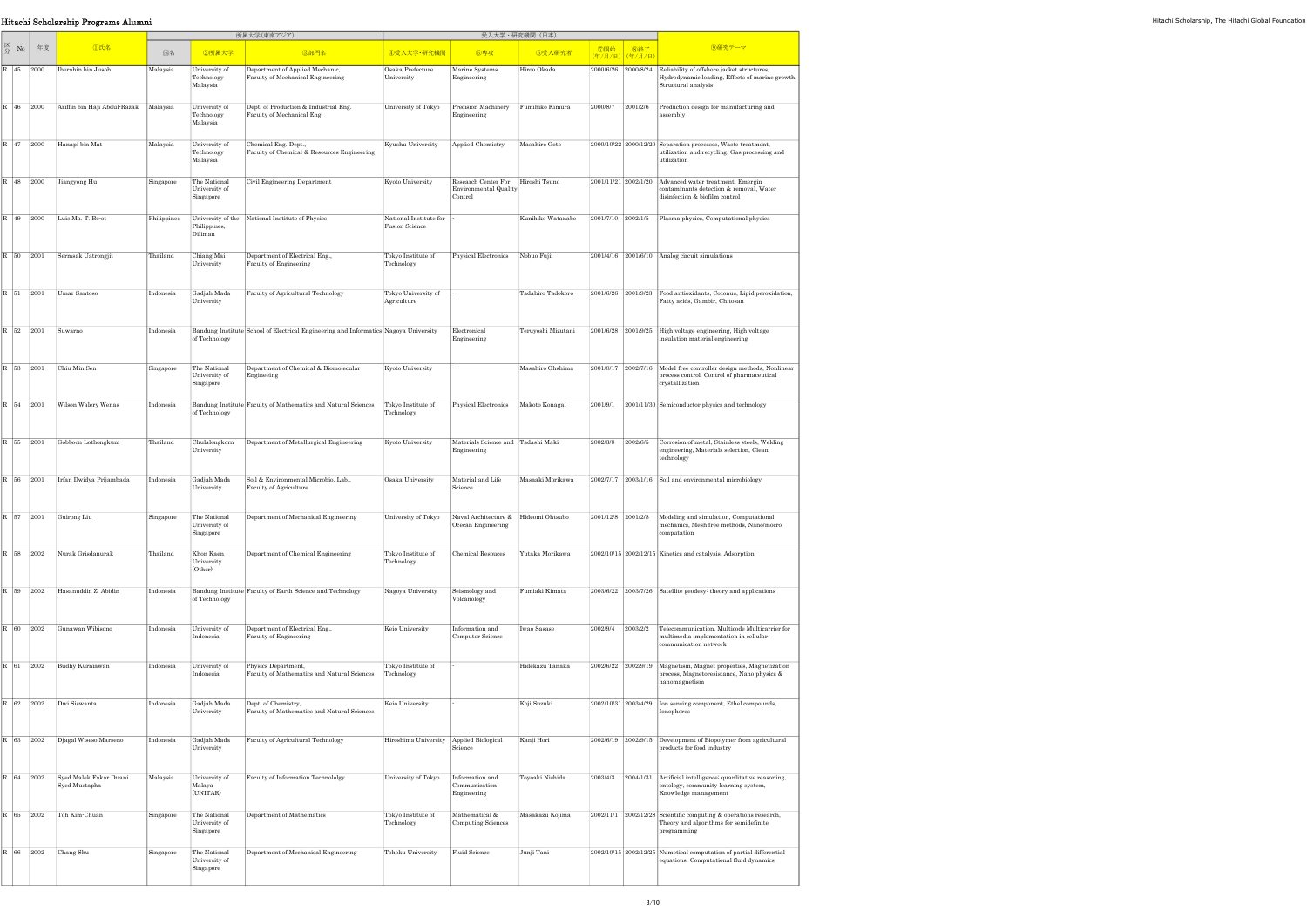|                                                                                                             | Hitachi Scholarship Programs Alumni                     |             |                                            |                                                                                      |                                                 |                                                                                |                    |                    |                                            |                                                                                                                                          |
|-------------------------------------------------------------------------------------------------------------|---------------------------------------------------------|-------------|--------------------------------------------|--------------------------------------------------------------------------------------|-------------------------------------------------|--------------------------------------------------------------------------------|--------------------|--------------------|--------------------------------------------|------------------------------------------------------------------------------------------------------------------------------------------|
|                                                                                                             |                                                         |             |                                            | 所属大学(東南アジア)                                                                          |                                                 | 受入大学·研究機関(日本)                                                                  |                    |                    |                                            |                                                                                                                                          |
| $\begin{array}{c c}\n\hline\n\swarrow &\text{No} & \text{f} \\ \hline\n\Rightarrow &\text{No}\n\end{array}$ | <b>①氏名</b>                                              | 国名          | 2所属大学                                      | 3部門名                                                                                 | 4受入大学·研究機関                                      | 5専攻                                                                            | 6受入研究者             |                    | │ ⑦開始 │ ⑧終了<br><mark>(年/月/日)(年/月/日)</mark> | 9研究テーマ                                                                                                                                   |
| R 45 2000                                                                                                   | Iberahin bin Jusoh                                      | Malaysia    | University of<br>Technology<br>Malaysia    | Department of Applied Mechanic,<br>Faculty of Mechanical Engineering                 | Osaka Prefecture<br>University                  | Marine Systems<br>Engineering                                                  | Hiroo Okada        |                    |                                            | 2000/6/26 2000/8/24 Reliability of offshore jacket structures,<br>Hydrodynamic loading, Effects of marine growth,<br>Structural analysis |
|                                                                                                             | R 46 2000 Ariffin bin Haji Abdul-Razak                  | Malaysia    | University of<br>Technology<br>Malaysia    | Dept. of Production & Industrial Eng.<br>Faculty of Mechanical Eng.                  | University of Tokyo                             | Precision Machinery Fumihiko Kimura<br>Engineering                             |                    | 2000/8/7 2001/2/6  |                                            | Production design for manufacturing and<br>assembly                                                                                      |
|                                                                                                             | $R$ 47 2000 Hanapi bin Mat                              | Malaysia    | University of<br>Technology<br>Malaysia    | Chemical Eng. Dept.,<br>Faculty of Chemical & Resources Engineering                  | Kyushu University                               | Applied Chemistry                                                              | Masahiro Goto      |                    |                                            | $2000/10/22$ 2000/12/20 Separation processes, Waste treatment,<br>utilization and recycling, Gas processing and<br>utilization           |
|                                                                                                             | R 48 2000 Jiangyong Hu                                  | Singapore   | The National<br>University of<br>Singapore | Civil Engineering Department                                                         | Kyoto University                                | Research Center For Hiroshi Tsuno<br>Environmental Quality<br>Control          |                    |                    |                                            | $2001/11/21$ $2002/1/20$ Advanced water treatment, Emergin<br>contaminants detection & removal, Water<br>disinfection & biofilm control  |
|                                                                                                             | R 49 2000 Luis Ma. T. Bo-ot                             | Philippines | Philippines,<br>Diliman                    | University of the National Institute of Physics                                      | National Institute for<br><b>Fusion Science</b> |                                                                                | Kunihiko Watanabe  |                    |                                            | 2001/7/10 2002/1/5 Plasma physics, Computational physics                                                                                 |
|                                                                                                             | R 50 2001 Sermsak Uatrongjit                            | Thailand    | Chiang Mai<br>University                   | Department of Electrical Eng.,<br>Faculty of Engineering                             | Tokyo Institute of<br>Technology                | Physical Electronics Nobuo Fujii                                               |                    |                    |                                            | $2001/4/16$ 2001/6/10 Analog circuit simulations                                                                                         |
| R 51 2001                                                                                                   | Umar Santoso                                            | Indonesia   | Gadjah Mada<br>University                  | Faculty of Agricultural Technology                                                   | Tokyo University of<br>Agriculture              |                                                                                | Tadahiro Tadokoro  |                    |                                            | 2001/6/26 2001/9/23 Food antioxidants, Coconus, Lipid peroxidation,<br>Fatty acids, Gambir, Chitosan                                     |
| R 32 2001 Suwarno                                                                                           |                                                         | Indonesia   | of Technology                              | Bandung Institute School of Electrical Engineering and Informatics Nagoya University |                                                 | Electronical<br>Engineering                                                    | Teruyoshi Mizutani |                    |                                            | 2001/6/28 2001/9/25 High voltage engineering, High voltage<br>insulation material engineering                                            |
|                                                                                                             | R 53 2001 Chiu Min Sen                                  | Singapore   | The National<br>University of<br>Singapore | Department of Chemical & Biomolecular<br>Engineeing                                  | Kyoto University                                |                                                                                | Masahiro Ohshima   |                    |                                            | 2001/8/17 2002/7/16 Model-free controller design methods, Nonlinear<br>process control, Control of pharmaceutical<br>crystallization     |
| R 54 2001                                                                                                   | Wilson Walery Wenas                                     | Indonesia   | of Technology                              | Bandung Institute Faculty of Mathematics and Natural Sciences                        | Tokyo Institute of<br>Technology                | Physical Electronics Makoto Konagai                                            |                    |                    |                                            | 2001/9/1 2001/11/30 Semiconductor physics and technology                                                                                 |
|                                                                                                             | R 55 2001 Gobboon Lothongkum                            | Thailand    | Chulalongkorn<br>University                | Department of Metallurgical Engineering                                              | Kyoto University                                | Materials Science and Tadashi Maki<br>Engineering                              |                    |                    | 2002/3/8 2002/6/5                          | Corrosion of metal, Stainless steels, Welding<br>engineering, Materials selection, Clean<br>technology                                   |
|                                                                                                             | R 56 2001 Irfan Dwidya Prijambada                       | Indonesia   | Gadjah Mada<br>University                  | Soil & Environmental Microbio. Lab<br>Faculty of Agriculture                         | Osaka University                                | Material and Life<br>Science                                                   | Masaaki Morikawa   |                    |                                            | 2002/7/17 2003/1/16 Soil and environmental microbiology                                                                                  |
| R 57 2001                                                                                                   | Guirong Liu                                             | Singapore   | The National<br>University of<br>Singapore | Department of Mechanical Engineering                                                 |                                                 | University of Tokyo Naval Architecture & Hideomi Ohtsubo<br>Ocecan Engineering |                    | 2001/12/8 2001/2/8 |                                            | Modeling and simulation, Computational<br>mechanics, Mesh free methods, Nano/mocro<br>computation                                        |
|                                                                                                             | R 58 2002 Nurak Grisdanurak                             | Thailand    | Khon Kaen<br>University<br>(Other)         | Department of Chemical Engineering                                                   | Tokyo Institute of<br>Technology                | Chemical Resouces                                                              | Yutaka Morikawa    |                    |                                            | $2002/10/15$ $2002/12/15$ Kinetics and catalysis, Adsorption                                                                             |
|                                                                                                             | R 59 2002 Hasanuddin Z. Abidin                          | Indonesia   | of Technology                              | Bandung Institute Faculty of Earth Science and Technology                            | Nagoya University                               | Seismology and<br>Volcanology                                                  | Fumiaki Kimata     |                    |                                            | 2003/6/22 2003/7/26 Satellite geodesy: theory and applications                                                                           |
|                                                                                                             | R 60 2002 Gunawan Wibisono                              | Indonesia   | University of<br>Indonesia                 | Department of Electrical Eng.,<br>Faculty of Engineering                             | Keio University                                 | Information and<br>Computer Science                                            | Iwao Sasase        |                    | 2002/9/4 2003/2/2                          | Telecommunication, Multicode Multicarrier for<br>multimedia implementation in cellular<br>communication network                          |
|                                                                                                             | R 61 2002 Budhy Kurniawan                               | Indonesia   | University of<br>Indonesia                 | Physics Department,<br>Faculty of Mathematics and Natural Sciences   Technology      | Tokyo Institute of                              |                                                                                | Hidekazu Tanaka    |                    |                                            | 2002/6/22 2002/9/19   Magnetism, Magnet properties, Magnetization<br>process, Magnetoresistance, Nano physics &<br>nanomagnetism         |
|                                                                                                             | R 62 2002 Dwi Siswanta                                  | Indonesia   | Gadjah Mada<br>University                  | Dept. of Chemistry,<br>Faculty of Mathematics and Natural Sciences                   | Keio University                                 |                                                                                | Koji Suzuki        |                    |                                            | Ionophores                                                                                                                               |
|                                                                                                             | R 63 2002 Djagal Wiseso Marseno                         | Indonesia   | Gadjah Mada<br>University                  | Faculty of Agricultural Technology                                                   | Hiroshima University Applied Biological         | Science                                                                        | Kanji Hori         |                    |                                            | 2002/6/19 2002/9/15 Development of Biopolymer from agricultural<br>products for food industry                                            |
|                                                                                                             | R   64   2002   Syed Malek Fakar Duani<br>Syed Mustapha | Malaysia    | University of<br>Malaya<br>(UNITAR)        | Faculty of Information Technololgy                                                   | University of Tokyo                             | Information and<br>Communication<br>Engineering                                | Toyoaki Nishida    |                    |                                            | 2003/4/3 2004/1/31 Artificial intelligence: quanlitative reasoning,<br>ontology, community learning system,<br>Knowledge management      |
|                                                                                                             | R 65 2002 Toh Kim-Chuan                                 | Singapore   | The National<br>University of<br>Singapore | Department of Mathematics                                                            | Tokyo Institute of<br>Technology                | Mathematical &<br>Computing Sciences                                           | Masakazu Kojima    |                    |                                            | 2002/11/1 2002/12/28 Scientific computing & operations research,<br>Theory and algorithms for semidefinite<br>programming                |
|                                                                                                             | R 66 2002 Chang Shu                                     | Singapore   | The National<br>University of<br>Singapore | Department of Mechanical Engineering                                                 | Tohoku University                               | Fluid Science                                                                  | Junji Tani         |                    |                                            | 2002/10/15 2002/12/25 Numetical computation of partial differential<br>equations, Computational fluid dynamics                           |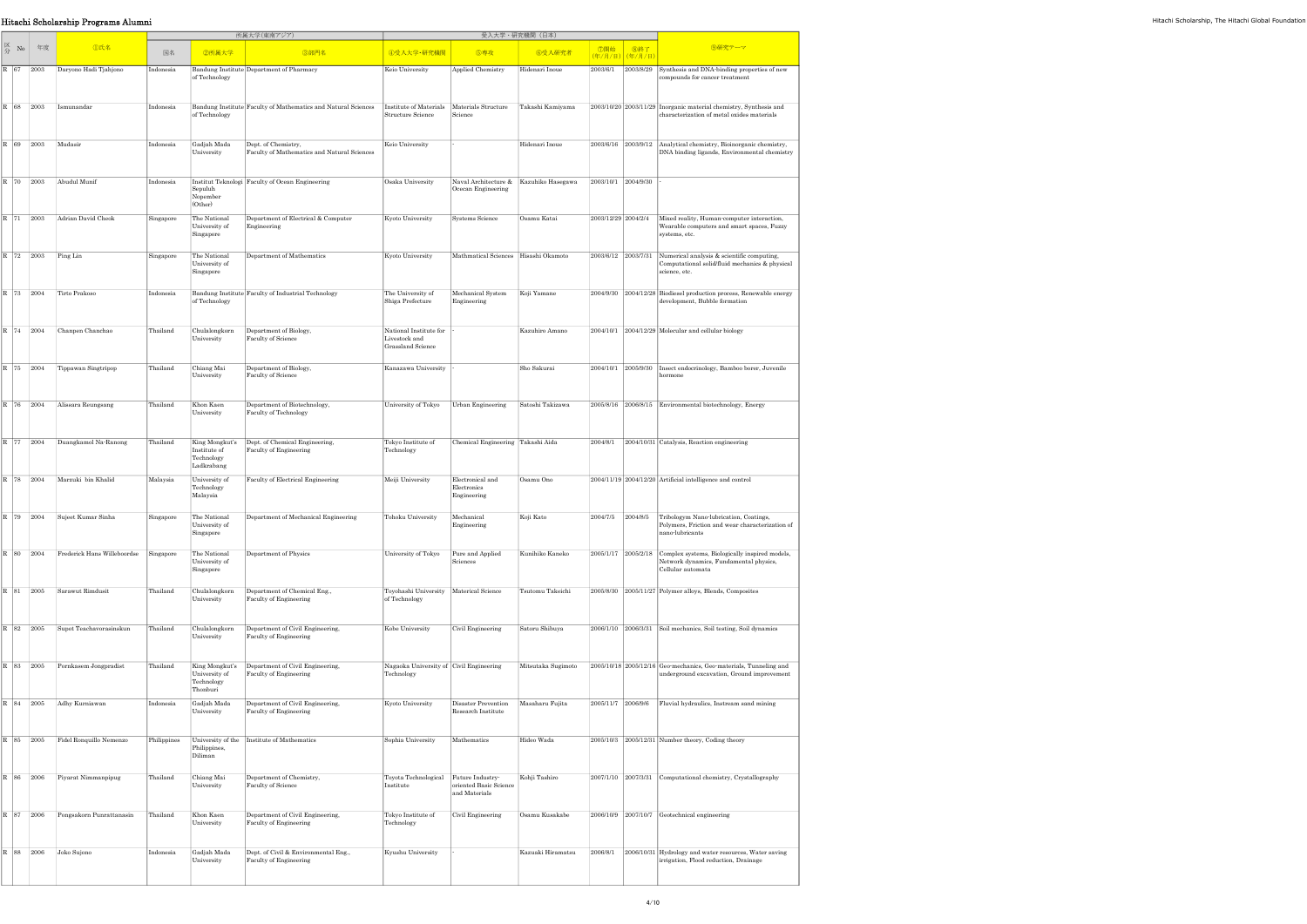|                                                                                             |           | Hitachi Scholarship Programs Alumni                                                         |             |                                            |                                                                            |                                                              |                                                                        |                                                            |  |                                             |                                                                                                                                    |
|---------------------------------------------------------------------------------------------|-----------|---------------------------------------------------------------------------------------------|-------------|--------------------------------------------|----------------------------------------------------------------------------|--------------------------------------------------------------|------------------------------------------------------------------------|------------------------------------------------------------|--|---------------------------------------------|------------------------------------------------------------------------------------------------------------------------------------|
| $\begin{array}{c c}\n\hline\n\swarrow & \text{No} & \text{f} \neq \mathcal{B}\n\end{array}$ |           |                                                                                             |             |                                            | 所属大学(東南アジア)                                                                | 受入大学・研究機関(日本)                                                |                                                                        |                                                            |  |                                             |                                                                                                                                    |
|                                                                                             |           | <b>D氏名</b>                                                                                  | 国名          | 2所属大学                                      | 3部門名                                                                       | 4受入大学·研究機関                                                   | 5専攻                                                                    | 6受入研究者                                                     |  | │ ⑦開始 │ ⑧終了<br><mark>(年/月/日)</mark> (年/月/日) | 9研究テーマ                                                                                                                             |
|                                                                                             |           | R 67   2003   Daryono Hadi Tjahjono                                                         | Indonesia   | of Technology                              | Bandung Institute Department of Pharmacy                                   | Keio University                                              | Applied Chemistry                                                      | Hidenari Inoue                                             |  |                                             | 2003/6/1 2003/8/29 Synthesis and DNA-binding properties of new<br>compounds for cancer treatment                                   |
|                                                                                             |           | R 68 2003 Ismunandar                                                                        | Indonesia   | of Technology                              | Bandung Institute Faculty of Mathematics and Natural Sciences              | Structure Science                                            | Institute of Materials Materials Structure Takashi Kamiyama<br>Science |                                                            |  |                                             | 2003/10/20 2003/11/29 Inorganic material chemistry, Synthesis and<br>characterization of metal oxides materials                    |
|                                                                                             |           | $R$ 69 2003 Mudasir                                                                         | Indonesia   | Gadjah Mada<br>University                  | Dept. of Chemistry,<br>Faculty of Mathematics and Natural Sciences         | Keio University                                              |                                                                        | Hidenari Inoue                                             |  |                                             | 2003/6/16 2003/9/12 Analytical chemistry, Bioinorganic chemistry,<br>DNA binding ligands, Environmental chemistry                  |
|                                                                                             |           | $\begin{array}{ c c c c }\n\hline\nR & 70 & 2003 & \text{Abudul Munif}\n\end{array}$        | Indonesia   | Sepuluh<br>Nopember<br>(Other)             | Institut Teknologi Faculty of Ocean Engineering                            | Osaka University                                             | Ocecan Engineering                                                     | Naval Architecture & Kazuhiko Hasegawa 2003/10/1 2004/9/30 |  |                                             |                                                                                                                                    |
|                                                                                             |           | R 71 2003 Adrian David Cheok                                                                | Singapore   | The National<br>University of<br>Singapore | Department of Electrical & Computer<br>Engineering                         | Kyoto University                                             | Systems Science                                                        | Osamu Katai                                                |  | 2003/12/29 2004/2/4                         | Mixed reality, Human computer interaction,<br>Wearable computers and smart spaces, Fuzzy<br>systems, etc.                          |
|                                                                                             |           | R 72 2003 Ping Lin                                                                          | Singapore   | The National<br>University of<br>Singapore | Department of Mathematics                                                  | Kyoto University                                             | Mathmatical Sciences Hisashi Okamoto                                   |                                                            |  |                                             | 2003/6/12 2003/7/31 Numerical analysis & scientific computing,<br>Computational solid/fluid mechanics & physical<br>science, etc.  |
|                                                                                             |           | R 73 2004 Tirto Prakoso                                                                     | Indonesia   | of Technology                              | Bandung Institute Faculty of Industrial Technology                         | The University of<br>Shiga Prefecture                        | Mechanical System Koji Yamane<br>Engineering                           |                                                            |  |                                             | 2004/9/30 2004/12/28 Biodiesel production process, Renewable energy<br>development, Bubble formation                               |
|                                                                                             |           | R 74 2004 Chanpen Chanchao                                                                  | Thailand    | University                                 | Chulalongkorn Department of Biology,<br>Faculty of Science                 | National Institute for<br>Livestock and<br>Grassland Science |                                                                        | Kazuhiro Amano                                             |  |                                             | $2004/10/1$ 2004/12/29 Molecular and cellular biology                                                                              |
|                                                                                             |           | $\begin{array}{ c c c c }\n\hline\nR & 75 & 2004 & \text{Tippawan Singtripop}\n\end{array}$ | Thailand    | Chiang Mai<br>University                   | Department of Biology,<br>Faculty of Science                               | Kanazawa University                                          |                                                                        | Sho Sakurai                                                |  |                                             | 2004/10/1 2005/9/30 Insect endocrinology, Bamboo borer, Juvenile<br>hormone                                                        |
|                                                                                             | R 76 2004 | Alissara Reungsang                                                                          | Thailand    | Khon Kaen<br>University                    | Department of Biotechnology,<br>Faculty of Technology                      |                                                              | University of Tokyo Urban Engineering Satoshi Takizawa                 |                                                            |  |                                             | 2005/8/16 2006/8/15 Environmental biotechnology, Energy                                                                            |
|                                                                                             |           | R 77 2004 Duangkamol Na-Ranong                                                              | Thailand    | Institute of<br>Technology<br>Ladkrabang   | Faculty of Engineering                                                     | Tokyo Institute of<br>Technology                             | Chemical Engineering Takashi Aida                                      |                                                            |  |                                             | $2004/8/1$ 2004/10/31 Catalysis, Reaction engineering                                                                              |
|                                                                                             |           | R 78 2004 Marzuki bin Khalid                                                                | Malaysia    | University of<br>Technology<br>Malaysia    | Faculty of Electrical Engineering                                          | Meiji University                                             | Electronical and<br>Electronics<br>Engineering                         | Osamu Ono                                                  |  |                                             | $2004/11/19$ 2004/12/20 Artificial intelligence and control                                                                        |
|                                                                                             | R 79 2004 | Sujeet Kumar Sinha                                                                          | Singapore   | The National<br>University of<br>Singapore | Department of Mechanical Engineering                                       | Tohoku University                                            | Mechanical<br>Engineering                                              | Koji Kato                                                  |  | 2004/7/5 2004/8/5                           | Tribologym Nano-lubrication, Coatings,<br>Polymers, Friction and wear characterization of<br>nano-lubricants                       |
|                                                                                             | R 80 2004 | Frederick Hans Willeboordse                                                                 | Singapore   | The National<br>University of<br>Singapore | Department of Physics                                                      | University of Tokyo                                          | Pure and Applied<br>Sciences                                           | Kunihiko Kaneko                                            |  |                                             | 2005/1/17 2005/2/18 Complex systems, Biologically inspired models,<br>Network dynamics, Fundamental physics,<br>Cellular automata  |
|                                                                                             |           | R 81 2005 Sarawut Rimdusit                                                                  | Thailand    | Chulalongkorn<br>University                | Department of Chemical Eng.,<br>Faculty of Engineering                     | Toyohashi University Materical Science<br>of Technology      |                                                                        | Tsutomu Takeichi                                           |  |                                             | 2005/8/30 2005/11/27 Polymer alloys, Blends, Composites                                                                            |
|                                                                                             |           | R 82 2005 Supot Teachavorasinskun                                                           | Thailand    | Chulalongkorn<br>University                | Department of Civil Engineering,<br>Faculty of Engineering                 | Kobe University                                              | Civil Engineering                                                      | Satoru Shibuya                                             |  |                                             | 2006/1/10 2006/3/31 Soil mechanics, Soil testing, Soil dynamics                                                                    |
|                                                                                             |           | R 83 2005 Pornkasem Jongpradist                                                             | Thailand    | University of<br>Technology<br>Thonburi    | King Mongkut's  Department of Civil Engineering,<br>Faculty of Engineering | Nagaoka University of Civil Engineering<br>Technology        |                                                                        |                                                            |  |                                             | Mitsutaka Sugimoto 2005/10/18 2005/12/16 Geo-mechanics, Geo-materials, Tunneling and<br>underground excavation, Ground improvement |
|                                                                                             |           | R 84 2005 Adhy Kurniawan                                                                    | Indonesia   | Gadjah Mada<br>University                  | Department of Civil Engineering,<br>Faculty of Engineering                 | Kyoto University                                             | Disaster Prevention Masaharu Fujita<br>Research Institute              |                                                            |  |                                             | 2005/11/7 2006/9/6 Fluvial hydraulics, Instream sand mining                                                                        |
|                                                                                             |           | R 85 2005 Fidel Ronquillo Nemenzo                                                           | Philippines | Philippines,<br>Diliman                    | University of the Institute of Mathematics                                 | Sophia University                                            | Mathematics                                                            | Hideo Wada                                                 |  |                                             | 2005/10/3 2005/12/31 Number theory, Coding theory                                                                                  |
|                                                                                             |           | R 86 2006 Piyarat Nimmanpipug                                                               | Thailand    | Chiang Mai<br>University                   | Department of Chemistry,<br>Faculty of Science                             | Toyota Technological Future Industry-<br>Institute           | oriented Basic Science<br>and Materials                                | Kohji Tashiro                                              |  |                                             | 2007/1/10 2007/3/31 Computational chemistry, Crystallography                                                                       |
|                                                                                             |           | R 87 2006 Pongsakorn Punrattanasin                                                          | Thailand    | Khon Kaen<br>University                    | Department of Civil Engineering,<br>Faculty of Engineering                 | Tokyo Institute of<br>Technology                             | Civil Engineering                                                      | Osamu Kusakabe                                             |  |                                             | $2006/10/9$ 2007/10/7 Geotechnical engineering                                                                                     |
|                                                                                             |           | R   88   2006   Joko Sujono                                                                 | Indonesia   | Gadjah Mada<br>University                  | Dept. of Civil & Environmental Eng.,<br>Faculty of Engineering             | Kyushu University                                            |                                                                        | Kazuaki Hiramatsu                                          |  |                                             | 2006/8/1 2006/10/31 Hydrology and water resources, Water saving<br>irrigation, Flood reduction, Drainage                           |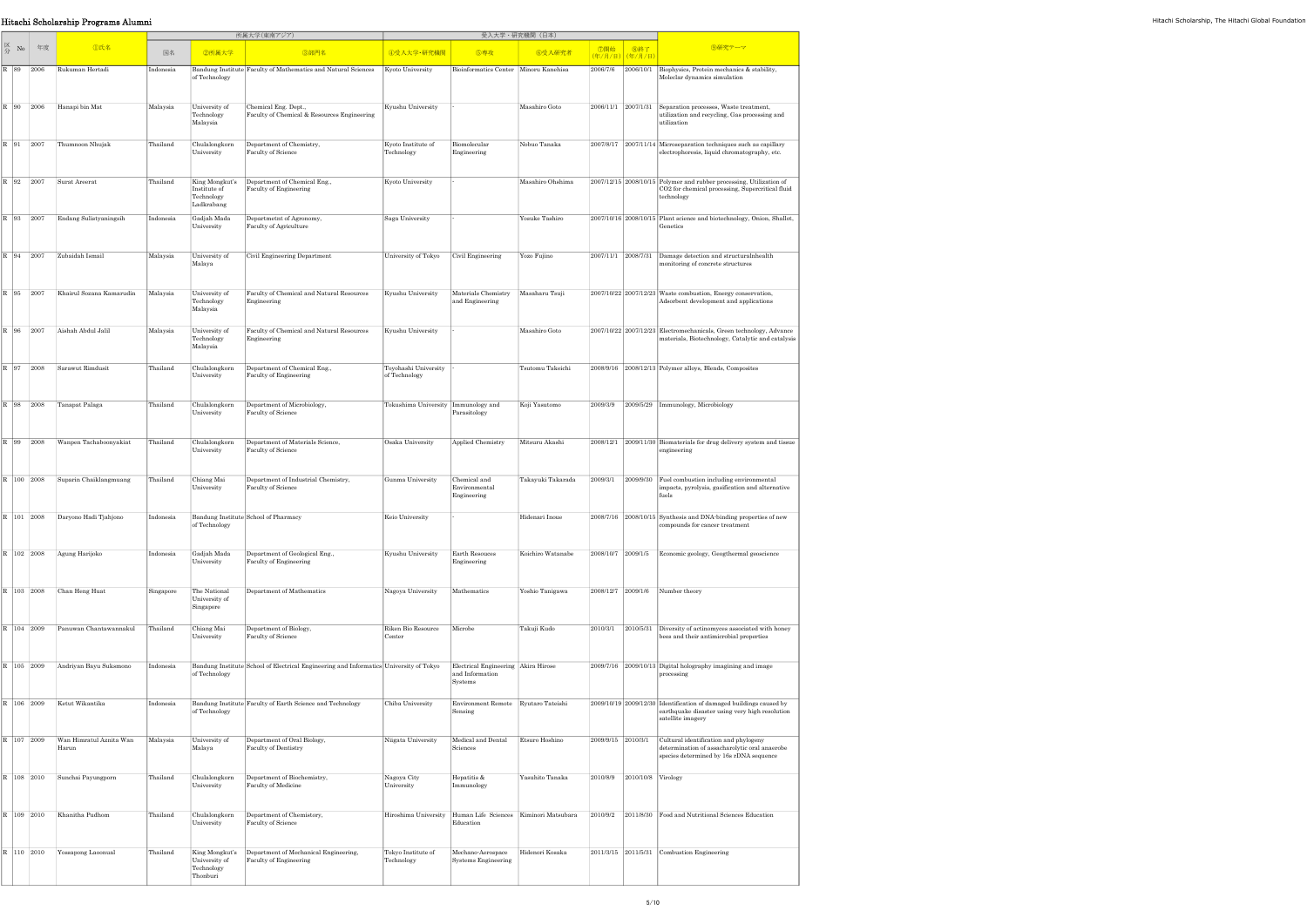|                                                                                                                                             | Hitachi Scholarship Programs Alumni                                   |           |                                            |                                                                                        |                                       |                                                                   |                   |                                            |                                                                                                                                            |
|---------------------------------------------------------------------------------------------------------------------------------------------|-----------------------------------------------------------------------|-----------|--------------------------------------------|----------------------------------------------------------------------------------------|---------------------------------------|-------------------------------------------------------------------|-------------------|--------------------------------------------|--------------------------------------------------------------------------------------------------------------------------------------------|
|                                                                                                                                             |                                                                       |           |                                            | 所属大学(東南アジア)                                                                            |                                       |                                                                   | 受入大学・研究機関(日本)     |                                            |                                                                                                                                            |
| $\begin{array}{ c c c }\n\hline\n\end{array}$ $\begin{array}{ c c }\n\hline\n\end{array}$ No $\begin{array}{ c c }\n\hline\n\end{array}$ ## | <b>①氏名</b>                                                            | 国名        | 2所属大学                                      | 3部門名                                                                                   | 4受入大学·研究機関                            | 5専攻                                                               | 6受入研究者            | │ ⑦開始 │ ⑧終了<br><mark>(年/月/日)(年/月/日)</mark> | 9研究テーマ                                                                                                                                     |
|                                                                                                                                             | R 89 2006 Rukuman Hertadi                                             | Indonesia | of Technology                              | Bandung Institute Faculty of Mathematics and Natural Sciences                          | Kyoto University                      | Bioinformatics Center Minoru Kanehisa                             |                   |                                            | 2006/7/6 2006/10/1 Biophysics, Protein mechanics & stability,<br>Moleclar dynamics simulation                                              |
|                                                                                                                                             | R 90 2006 Hanapi bin Mat                                              | Malaysia  | University of<br>Technology<br>Malaysia    | Chemical Eng. Dept.,<br>Faculty of Chemical & Resources Engineering                    | Kyushu University                     |                                                                   | Masahiro Goto     |                                            | 2006/11/1 2007/1/31 Separation processes, Waste treatment,<br>utilization and recycling, Gas processing and<br>utilization                 |
|                                                                                                                                             | R 91 2007 Thumnoon Nhujak                                             | Thailand  | Chulalongkorn<br>University                | Department of Chemistry,<br>Faculty of Science                                         | Kyoto Institute of<br>Technology      | Biomolecular<br>Engineering                                       | Nobuo Tanaka      |                                            | 2007/8/17 2007/11/14 Microseparation techniques such as capillary<br>electrophoresis, liquid chromatography, etc.                          |
|                                                                                                                                             | R 92 2007 Surat Areerat                                               | Thailand  | Institute of<br>Technology                 | King Mongkut's   Department of Chemical Eng.,<br>Faculty of Engineering                | Kyoto University                      |                                                                   | Masahiro Ohshima  |                                            | $2007/12/15$ 2008/10/15 Polymer and rubber processing, Utilization of<br>CO2 for chemical processing, Supercritical fluid<br>technology    |
|                                                                                                                                             | R 93 2007 Endang Sulistyaningsih                                      | Indonesia | Ladkrabang<br>Gadjah Mada<br>University    | Departmetnt of Agronomy,<br>Faculty of Agriculture                                     | Saga University                       |                                                                   | Yosuke Tashiro    |                                            | 2007/10/16 2008/10/15 Plant science and biotechnology, Onion, Shallot,<br>Genetics                                                         |
|                                                                                                                                             | R 94 2007 Zubaidah Ismail                                             | Malaysia  | University of<br>Malaya                    | Civil Engineering Department                                                           | University of Tokyo Civil Engineering |                                                                   | Yozo Fujino       |                                            | 2007/11/1 2008/7/31 Damage detection and structuralnhealth<br>monitoring of concrete structures                                            |
| R 95 2007                                                                                                                                   | Khairul Sozana Kamarudin                                              | Malaysia  | University of<br>Technology<br>Malaysia    | Faculty of Chemical and Natural Resources<br>Engineering                               | Kyushu University                     | Materials Chemistry Masaharu Tsuji<br>and Engineering             |                   |                                            | 2007/10/22 2007/12/23 Waste combustion, Energy conservation,<br>Adsorbent development and applications                                     |
|                                                                                                                                             | R 96 2007 Aishah Abdul Jalil                                          | Malaysia  | University of                              | Faculty of Chemical and Natural Resources                                              | Kyushu University                     |                                                                   | Masahiro Goto     |                                            | 2007/10/22 2007/12/23 Electromechanicals, Green technology, Advance                                                                        |
|                                                                                                                                             |                                                                       |           | Technology<br>Malaysia                     | Engineering                                                                            |                                       |                                                                   |                   |                                            | materials, Biotechnology, Catalytic and catalysis                                                                                          |
|                                                                                                                                             | R 97 2008 Sarawut Rimdusit                                            | Thailand  | Chulalongkorn<br>University                | Department of Chemical Eng.,<br>Faculty of Engineering                                 | Toyohashi University<br>of Technology |                                                                   | Tsutomu Takeichi  |                                            | 2008/9/16 2008/12/13 Polymer alloys, Blends, Composites                                                                                    |
|                                                                                                                                             | R 98 2008 Tanapat Palaga                                              | Thailand  | Chulalongkorn<br>University                | Department of Microbiology,<br>Faculty of Science                                      | Tokushima University Immunology and   | Parasitology                                                      | Koji Yasutomo     |                                            | $2009/3/9$ $2009/5/29$ Immunology, Microbiology                                                                                            |
|                                                                                                                                             | R 99 2008 Wanpen Tachaboonyakiat                                      | Thailand  | Chulalongkorn<br>University                | Department of Materials Science,<br>Faculty of Science                                 | Osaka University                      | Applied Chemistry                                                 | Mitsuru Akashi    |                                            | 2008/12/1 2009/11/30 Biomaterials for drug delivery system and tissue<br>engineering                                                       |
|                                                                                                                                             | $R$ 100 2008 Suparin Chaiklang muang                                  | Thailand  | Chiang Mai<br>University                   | Department of Industrial Chemistry,<br>Faculty of Science                              | Gunma University                      | Chemical and<br>Environmental<br>Engineering                      | Takayuki Takarada |                                            | $2009/3/1$ $2009/9/30$ Fuel combustion including environmental<br>impacts, pyrolysis, gasification and alternative                         |
|                                                                                                                                             | R   101   2008   Daryono Hadi Tjahjono                                | Indonesia | of Technology                              | Bandung Institute School of Pharmacy                                                   | Keio University                       |                                                                   | Hidenari Inoue    |                                            | 2008/7/16 2008/10/15 Synthesis and DNA-binding properties of new<br>compounds for cancer treatment                                         |
|                                                                                                                                             | R 102 2008 Agung Harijoko                                             | Indonesia | Gadjah Mada<br>University                  | Department of Geological Eng.,<br>Faculty of Engineering                               | Kyushu University                     | Earth Resouces<br>Engineering                                     | Koichiro Watanabe |                                            | 2008/10/7 2009/1/5 Economic geology, Geogthermal geoscience                                                                                |
|                                                                                                                                             | R 103 2008 Chan Heng Huat                                             | Singapore | The National<br>University of<br>Singapore | Department of Mathematics                                                              | Nagoya University                     | Mathematics                                                       | Yoshio Tanigawa   | 2008/12/7 2009/1/6 Number theory           |                                                                                                                                            |
| R 104 2009                                                                                                                                  | Panuwan Chantawannakul                                                | Thailand  | Chiang Mai<br>University                   | Department of Biology,<br>Faculty of Science                                           | Riken Bio Resource<br>Center          | Microbe                                                           | Takuji Kudo       |                                            | 2010/3/1 2010/5/31 Diversity of actinomyces associated with honey<br>bees and their antimicrobial properties                               |
|                                                                                                                                             | R   105   2009   Andriyan Bayu Suksmono                               | Indonesia | of Technology                              | Bandung Institute School of Electrical Engineering and Informatics University of Tokyo |                                       | Electrical Engineering Akira Hirose<br>and Information<br>Systems |                   |                                            | 2009/7/16 2009/10/13 Digital holography imagining and image<br>processing                                                                  |
|                                                                                                                                             | R 106 2009 Ketut Wikantika                                            | Indonesia | of Technology                              | Bandung Institute Faculty of Earth Science and Technology                              | Chiba University                      | Environment Remote Ryutaro Tateishi<br>Sensing                    |                   |                                            | 2009/10/19 2009/12/30 Identification of damaged buildings caused by<br>earthquake disaster using very high resolution<br>satellite imagery |
|                                                                                                                                             | $\overline{\text{R}}$   107   2009   Wan Himratul Aznita Wan<br>Harun | Malaysia  | University of<br>Malaya                    | Department of Oral Biology,<br><b>Faculty of Dentistry</b>                             | Niigata University                    | Medical and Dental<br>Sciences                                    | Etsuro Hoshino    | 2009/9/15 2010/3/1                         | Cultural identification and phylogeny<br>determination of assacharolytic oral anaerobe<br>species determined by 16s rDNA sequence          |
|                                                                                                                                             | R 108 2010 Sunchai Payungporn                                         | Thailand  | Chulalongkorn<br>University                | Department of Biochemistry,<br>Faculty of Medicine                                     | Nagoya City<br>University             | Hepatitis &<br>Immunology                                         | Yasuhito Tanaka   | 2010/8/9 2010/10/8 Virology                |                                                                                                                                            |
|                                                                                                                                             | R 109 2010 Khanitha Pudhom                                            | Thailand  | Chulalongkorn<br>University                | Department of Chemistory,<br>Faculty of Science                                        |                                       | Education                                                         |                   |                                            | Hiroshima University Human Life Sciences Kiminori Matsubara 2010/9/2 2011/8/30 Food and Nutritional Sciences Education                     |
|                                                                                                                                             | R   110   2010   Yossapong Laoonual                                   | Thailand  | University of<br>Technology<br>Thonburi    | King Mongkut's Department of Mechanical Engineering,<br>Faculty of Engineering         | Tokyo Institute of<br>Technology      | Mechano-Aerospace<br><b>Systems Engineering</b>                   | Hidenori Kosaka   |                                            | 2011/3/15 2011/5/31 Combustion Engineering                                                                                                 |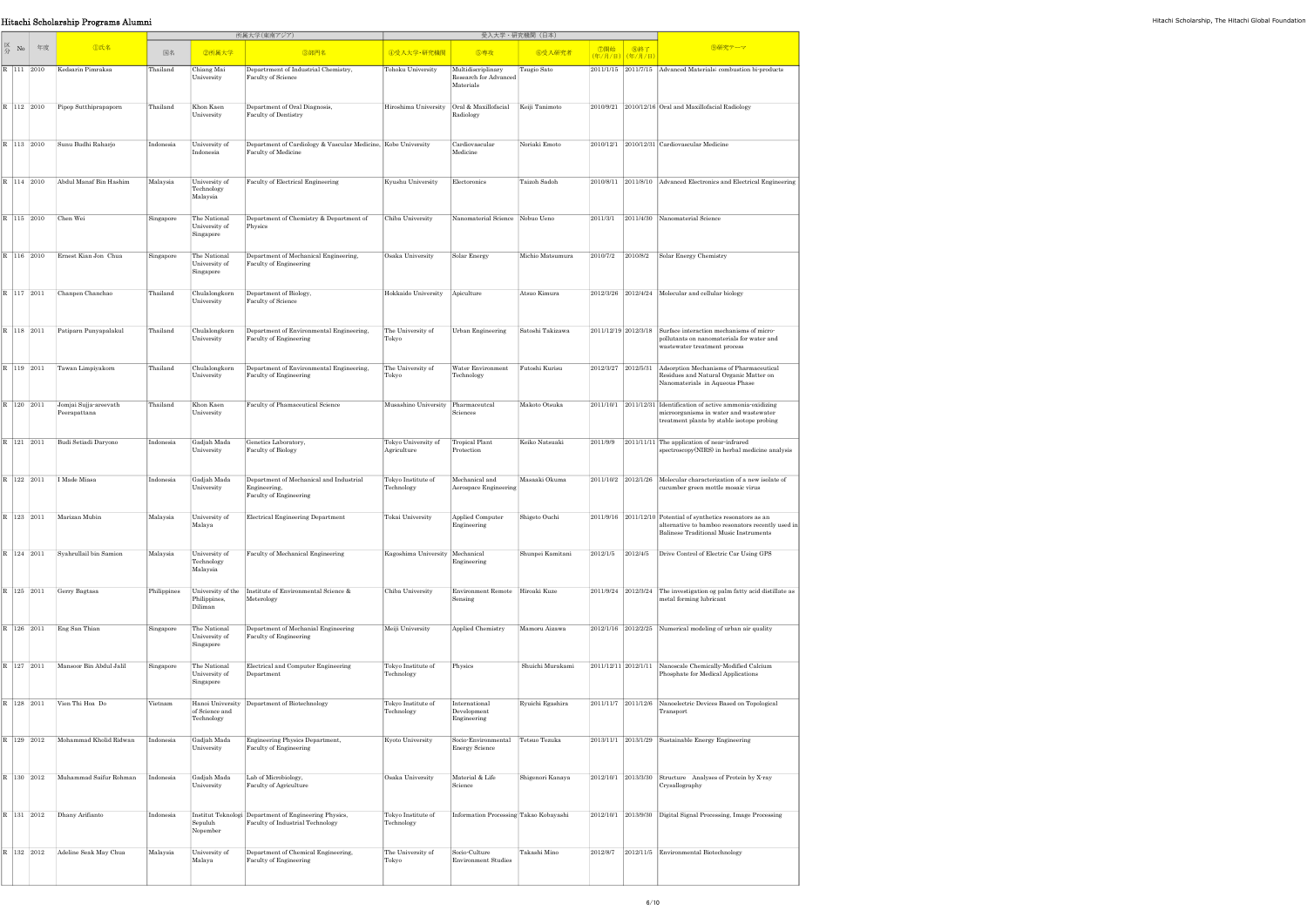## **Hitachi Scholarship Programs Alumni** Hitachi Scholarship, The Hitachi Global Foundation

|                                                                                |    |                                           | 所属大学(東南アジア) |                                                  |                                                                                           |                                    | 受入大学·研究機関 (日本)                                           |                  |                      |                        |                                                                                                                                                                  |
|--------------------------------------------------------------------------------|----|-------------------------------------------|-------------|--------------------------------------------------|-------------------------------------------------------------------------------------------|------------------------------------|----------------------------------------------------------|------------------|----------------------|------------------------|------------------------------------------------------------------------------------------------------------------------------------------------------------------|
| $\begin{array}{c} \boxtimes \ \text{No} \\ \text{ } \widehat{\pi} \end{array}$ | 年度 | <b></b> ①氏名                               | 国名          | 2所属大学                                            | 3部門名                                                                                      | 4受入大学·研究機関                         | 6専攻                                                      | 6受入研究者           | ⑦開始                  | 8終了<br>(年/月/日) (年/月/日) | 9研究テーマ                                                                                                                                                           |
| R 111 2010                                                                     |    | Kedsarin Pimraksa                         | Thailand    | Chiang Mai<br>University                         | Departmment of Industrial Chemistry,<br>Faculty of Science                                | Tohoku University                  | Multidiscriplinary<br>Research for Advanced<br>Materials | Tsugio Sato      | 2011/1/15 2011/7/15  |                        | Advanced Materials; combustion bi-products                                                                                                                       |
| R 112 2010                                                                     |    | Pipop Sutthiprapaporn                     | Thailand    | Khon Kaen<br>University                          | Department of Oral Diagnosis,<br>Faculty of Dentistry                                     | Hiroshima University               | Oral & Maxillofacial<br>Radiology                        | Keiji Tanimoto   |                      |                        | 2010/9/21 2010/12/16 Oral and Maxillofacial Radiology                                                                                                            |
| R 113 2010                                                                     |    | Sunu Budhi Raharjo                        | Indonesia   | University of<br>Indonesia                       | Department of Cardiology & Vascular Medicine, Kobe University<br>Faculty of Medicine      |                                    | Cardiovascular<br>Medicine                               | Noriaki Emoto    |                      |                        | 2010/12/1 2010/12/31 Cardiovascular Medicine                                                                                                                     |
| R 114 2010                                                                     |    | Abdul Manaf Bin Hashim                    | Malaysia    | University of<br>Technology<br>Malaysia          | Faculty of Electrical Engineering                                                         | Kyushu University                  | Electoronics                                             | Taizoh Sadoh     |                      |                        | 2010/8/11 2011/8/10 Advanced Electronics and Electrical Engineering                                                                                              |
| R 115 2010                                                                     |    | Chen Wei                                  | Singapore   | The National<br>University of<br>Singapore       | Department of Chemistry & Department of<br>Physics                                        | Chiba University                   | Nanomaterial Science Nobuo Ueno                          |                  | 2011/3/1             |                        | 2011/4/30 Nanomaterial Science                                                                                                                                   |
| R 116 2010                                                                     |    | Ernest Kian Jon Chua                      | Singapore   | The National<br>University of<br>Singapore       | Department of Mechanical Engineering,<br>Faculty of Engineering                           | Osaka University                   | Solar Energy                                             | Michio Matsumura | 2010/7/2             | 2010/8/2               | Solar Energy Chemistry                                                                                                                                           |
| R 117 2011                                                                     |    | Chanpen Chanchao                          | Thailand    | Chulalongkorn<br>University                      | Department of Biology,<br>Faculty of Science                                              | Hokkaido University                | Apiculture                                               | Atsuo Kimura     | 2012/3/26 2012/4/24  |                        | Molecular and cellular biology                                                                                                                                   |
| R 118 2011                                                                     |    | Patiparn Punyapalakul                     | Thailand    | Chulalongkorn<br>University                      | Department of Environmental Engineering,<br>Faculty of Engineering                        | The University of<br>Tokyo         | Urban Engineering                                        | Satoshi Takizawa | 2011/12/19 2012/3/18 |                        | Surface interaction mechanisms of micro-<br>pollutants on nanomaterials for water and<br>wastewater treatment process                                            |
| R 119 2011                                                                     |    | Tawan Limpiyakorn                         | Thailand    | Chulalongkorn<br>University                      | Department of Environmental Engineering,<br>Faculty of Engineering                        | The University of<br>Tokyo         | Water Environment<br>Technology                          | Futoshi Kurisu   | 2012/3/27 2012/5/31  |                        | Adsorption Mechanisms of Pharmaceutical<br>Residues and Natural Organic Matter on<br>Nanomaterials in Aqueous Phase                                              |
| R 120 2011                                                                     |    | Jomjai Sujja-areevath<br>Peerapattana     | Thailand    | Khon Kaen<br>University                          | Faculty of Phamaceutical Science                                                          | Musashino University Pharmaceutcal | Sciences                                                 | Makoto Otsuka    |                      |                        | 2011/10/1 2011/12/31 Identification of active ammonia oxidizing<br>microorganisms in water and wastewater<br>treatment plants by stable isotope probing          |
| R 121 2011                                                                     |    | Budi Setiadi Daryono                      | Indonesia   | Gadjah Mada<br>University                        | Genetics Laboratory,<br>Faculty of Biology                                                | Tokyo University of<br>Agriculture | Tropical Plant<br>Protection                             | Keiko Natsuaki   | 2011/9/9             |                        | 2011/11/11 The application of near-infrared<br>spectroscopy(NIRS) in herbal medicine analysis                                                                    |
| R 122 2011                                                                     |    | I Made Miasa                              | Indonesia   | Gadjah Mada<br>University                        | Department of Mechanical and Industrial<br>Engineering,<br>Faculty of Engineering         | Tokyo Institute of<br>Technology   | Mechanical and<br>Aerospace Engineering                  | Masaaki Okuma    | 2011/10/2 2012/1/26  |                        | Molecular characterization of a new isolate of<br>cucumber green mottle mosaic virus                                                                             |
|                                                                                |    | $\mathbb{R}$   123   2011   Marizan Mubin | Malaysia    | University of<br>Malaya                          | Electrical Engineering Department                                                         | Tokai University                   | Applied Computer<br>Engineering                          | Shigeto Ouchi    |                      |                        | $2011/9/16$ $2011/12/10$ Potential of synthetics resonators as an<br>alternative to bamboo resonators recently used in<br>Balinese Traditional Music Instruments |
| R 124 2011                                                                     |    | Syahrullail bin Samion                    | Malaysia    | University of<br>Technology<br>Malaysia          | Faculty of Mechanical Engineering                                                         | Kagoshima University   Mechanical  | Engineering                                              | Shunpei Kamitani | 2012/1/5             | 2012/4/5               | Drive Control of Electric Car Using GPS                                                                                                                          |
| R 125 2011                                                                     |    | Gerry Bagtasa                             | Philippines | University of the<br>Philippines,<br>Diliman     | Institute of Environmental Science &<br>Meterology                                        | Chiba University                   | <b>Environment Remote</b><br>Sensing                     | Hiroaki Kuze     | 2011/9/24 2012/3/24  |                        | The investigation og palm fatty acid distillate as<br>metal forming lubricant                                                                                    |
| R 126 2011                                                                     |    | Eng San Thian                             | Singapore   | The National<br>University of<br>Singapore       | Department of Mechanial Engineering<br>Faculty of Engineering                             | Meiji University                   | Applied Chemistry                                        | Mamoru Aizawa    |                      | 2012/1/16 2012/2/25    | Numerical modeling of urban air quality                                                                                                                          |
| R 127 2011                                                                     |    | Mansoor Bin Abdul Jalil                   | Singapore   | The National<br>University of<br>Singapore       | Electrical and Computer Engineering<br>Department                                         | Tokyo Institute of<br>Technology   | Physics                                                  | Shuichi Murakami | 2011/12/11 2012/1/11 |                        | Nanoscale Chemically-Modified Calcium<br>Phosphate for Medical Applications                                                                                      |
| R 128 2011                                                                     |    | Vien Thi Hoa Do                           | Vietnam     | Hanoi University<br>of Science and<br>Technology | Department of Biotechnology                                                               | Tokyo Institute of<br>Technology   | International<br>Development<br>Engineering              | Ryuichi Egashira | 2011/11/7 2011/12/6  |                        | Nanoelectric Devices Based on Topological<br>Transport                                                                                                           |
| R 129 2012                                                                     |    | Mohammad Kholid Ridwan                    | Indonesia   | Gadjah Mada<br>University                        | Engineering Physics Department,<br>Faculty of Engineering                                 | Kyoto University                   | Socio-Environmental<br><b>Energy Science</b>             | Tetsuo Tezuka    |                      | 2013/11/1 2013/1/29    | Sustainable Energy Engineering                                                                                                                                   |
| R 130 2012                                                                     |    | Muhammad Saifur Rohman                    | Indonesia   | Gadjah Mada<br>University                        | Lab of Microbiology,<br>Faculty of Agriculture                                            | Osaka University                   | Material & Life<br>Science                               | Shigenori Kanaya | 2012/10/1 2013/3/30  |                        | Structure Analyses of Protein by X-ray<br>Crysallography                                                                                                         |
| R 131 2012                                                                     |    | Dhany Arifianto                           | Indonesia   | Sepuluh<br>Nopember                              | Institut Teknologi Department of Engineering Physics,<br>Faculty of Industrial Technology | Tokyo Institute of<br>Technology   | Information Processing Takao Kobayashi                   |                  | 2012/10/1 2013/9/30  |                        | Digital Signal Processing, Image Processing                                                                                                                      |
| R 132 2012                                                                     |    | Adeline Seak May Chua                     | Malaysia    | University of<br>Malaya                          | Department of Chemical Engineering,<br>Faculty of Engineering                             | The University of<br>Tokyo         | Socio-Culture<br><b>Environment Studies</b>              | Takashi Mino     | 2012/8/7             |                        | 2012/11/5 Environmental Biotechnology                                                                                                                            |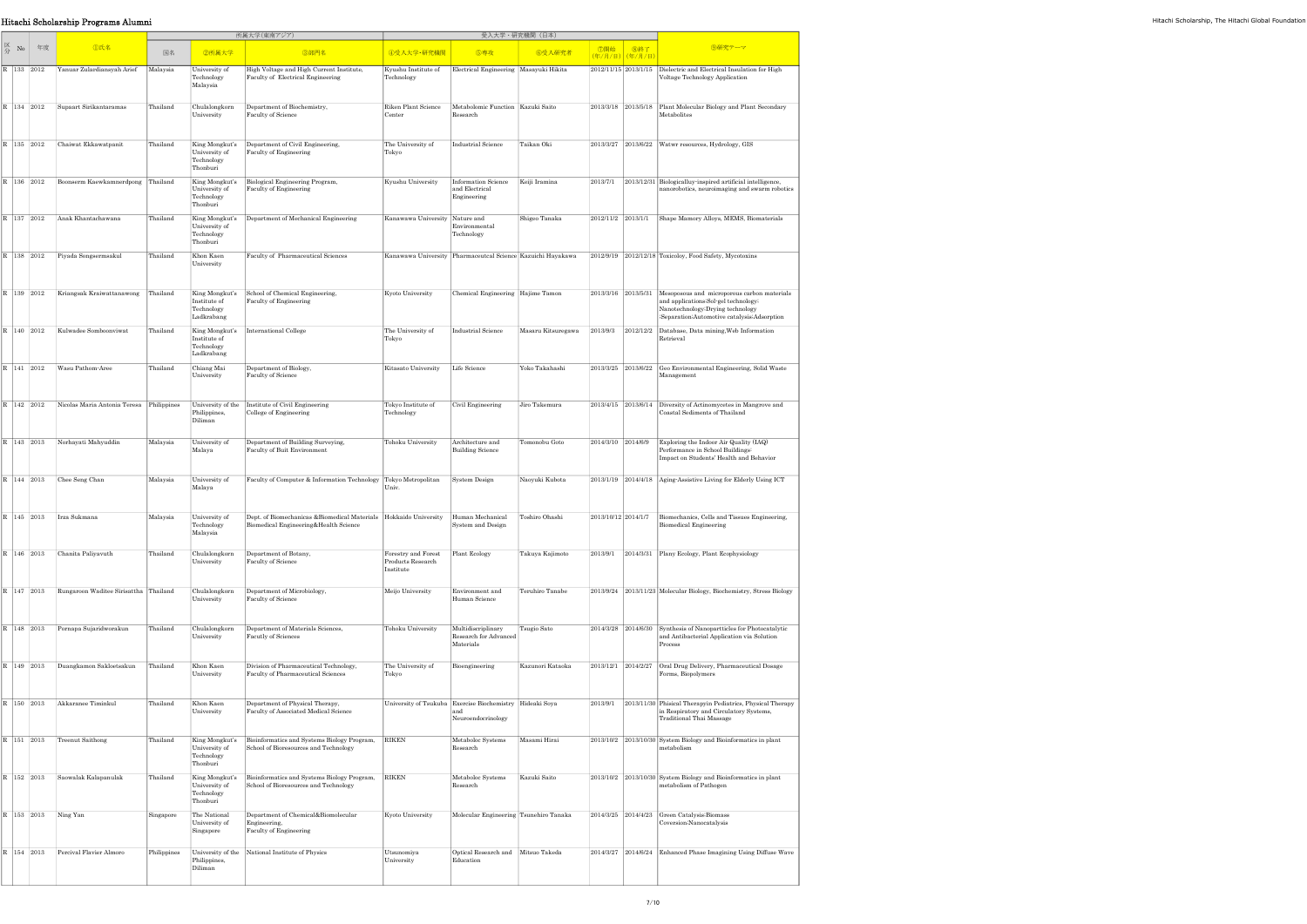## Hitachi Scholarship Programs Alumni Hitachi Scholarship, The Hitachi Global Foundation

|    |                |            |                              | 所属大学(東南アジア) |                                                            |                                                                                                                                 |                                                       | 受入大学・研究機関(日本)                                                                         |                    |                      |                       |                                                                                                                                                                          |
|----|----------------|------------|------------------------------|-------------|------------------------------------------------------------|---------------------------------------------------------------------------------------------------------------------------------|-------------------------------------------------------|---------------------------------------------------------------------------------------|--------------------|----------------------|-----------------------|--------------------------------------------------------------------------------------------------------------------------------------------------------------------------|
| 区分 | No             | 年度         | <b></b> ①氏名                  | 国名          | 2所属大学                                                      | 3部門名                                                                                                                            | 4受入大学·研究機関                                            | 5専攻                                                                                   | 6受入研究者             | ⑦開始                  | 8終了<br>(年/月/日) (年/月/日 | 9研究テーマ                                                                                                                                                                   |
|    | R 133 2012     |            | Yanuar Zulardiansyah Arief   | Malaysia    | University of<br>Technology<br>Malaysia                    | High Voltage and High Current Institute,<br>Faculty of Electrical Engineering                                                   | Kyushu Institute of<br>Technology                     | Electrical Engineering Masayuki Hikita                                                |                    | 2012/11/15 2013/1/15 |                       | Dielectric and Electrical Insulation for High<br>Voltage Technology Application                                                                                          |
|    | R 134 2012     |            | Supaart Sirikantaramas       | Thailand    | Chulalongkorn<br>University                                | Department of Biochemistry,<br>Faculty of Science                                                                               | Riken Plant Science<br>Center                         | Metabolomic Function Kazuki Saito<br>Research                                         |                    | 2013/3/18            | 2013/5/18             | Plant Molecular Biology and Plant Secondary<br>Metabolites                                                                                                               |
|    | R 135 2012     |            | Chaiwat Ekkawatpanit         | Thailand    | King Mongkut's<br>University of<br>Technology<br>Thonburi  | Department of Civil Engineering,<br>Faculty of Engineering                                                                      | The University of<br>Tokyo                            | Industrial Science                                                                    | Taikan Oki         | 2013/3/27            | 2013/6/22             | Watwr resources, Hydrology, GIS                                                                                                                                          |
|    | R 136 2012     |            | Boonserm Kaewkamnerdpong     | Thailand    | King Mongkut's<br>University of<br>Technology<br>Thonburi  | Biological Engineering Program,<br>Faculty of Engineering                                                                       | Kyushu University                                     | Information Science<br>and Electrical<br>Engineering                                  | Keiji Iramina      | 2013/7/1             |                       | 2013/12/31 Biologicalluy-inspired artificial intelligence,<br>nanorobotics, neuroimaging and swarm robotics                                                              |
|    | R 137 2012     |            | Anak Khantachawana           | Thailand    | King Mongkut's<br>University of<br>Technology<br>Thonburi  | Department of Mechanical Engineering                                                                                            | Kanawawa University Nature and                        | Environmental<br>Technology                                                           | Shigeo Tanaka      | 2012/11/2 2013/1/1   |                       | Shape Mamory Alloys, MEMS, Biomaterials                                                                                                                                  |
|    | R 138 2012     |            | Piyada Songsermsakul         | Thailand    | Khon Kaen<br>University                                    | Faculty of Pharmaceutical Sciences                                                                                              |                                                       | Kanawawa University Pharmaceutcal Science Kazuichi Hayakawa                           |                    |                      |                       | 2012/9/19 2012/12/18 Toxicoloy, Food Safety, Mycotoxins                                                                                                                  |
|    | R 139 2012     |            | Kriangsak Kraiwattanawong    | Thailand    | King Mongkut's<br>Institute of<br>Technology<br>Ladkrabang | School of Chemical Engineering,<br>Faculty of Engineering                                                                       | Kyoto University                                      | Chemical Engineering Hajime Tamon                                                     |                    | 2013/3/16 2013/5/31  |                       | Mesoposous and microporous carbon materials<br>and applications; Sol-gel technology;<br>Nanotechnology; Drying technology<br>;Separation;Automotive catalysis;Adsorption |
|    | R 140 2012     |            | Kulwadee Somboonviwat        | Thailand    | King Mongkut's<br>Institute of<br>Technology<br>Ladkrabang | <b>International College</b>                                                                                                    | The University of<br>Tokyo                            | <b>Industrial Science</b>                                                             | Masaru Kitsuregawa | 2013/9/3             | 2012/12/2             | Database, Data mining, Web Information<br>Retrieval                                                                                                                      |
|    | R 141 2012     |            | Wasu Pathom-Aree             | Thailand    | Chiang Mai<br>University                                   | Department of Biology,<br>Faculty of Science                                                                                    | Kitasato University                                   | Life Science                                                                          | Yoko Takahashi     | 2013/3/25 2013/6/22  |                       | Geo Environmental Engineering, Solid Waste<br>Management                                                                                                                 |
|    | R 142 2012     |            | Nicolas Maria Antonia Teresa | Philippines | University of the<br>Philippines,<br>Diliman               | Institute of Civil Engineering<br>College of Engineering                                                                        | Tokyo Institute of<br>Technology                      | Civil Engineering                                                                     | Jiro Takemura      | 2013/4/15 2013/6/14  |                       | Diversity of Actinomycetes in Mangrove and<br>Coastal Sediments of Thailand                                                                                              |
|    | R 143 2013     |            | Norhayati Mahyuddin          | Malaysia    | University of<br>Malaya                                    | Department of Building Surveying,<br>Faculty of Buit Environment                                                                | Tohoku University                                     | Architecture and<br><b>Building Science</b>                                           | Tomonobu Goto      | 2014/3/10 2014/6/9   |                       | Exploring the Indoor Air Quality (IAQ)<br>Performance in School Buildings:<br>Impact on Students' Health and Behavior                                                    |
|    | R   144   2013 |            | Chee Seng Chan               | Malaysia    | University of<br>Malaya                                    | Faculty of Computer & Information Technology                                                                                    | Tokyo Metropolitan<br>Univ.                           | <b>System Design</b>                                                                  | Naoyuki Kubota     | 2013/1/19 2014/4/18  |                       | Aging-Assistive Living for Elderly Using ICT                                                                                                                             |
|    |                | R 145 2013 | Irza Sukmana                 | Malaysia    | University of<br>Technology<br>Malaysia                    | Dept. of Biomechanicas & Biomedical Materials   Hokkaido University   Human Mechanical<br>Biomedical Engineering&Health Science |                                                       | System and Design                                                                     | Toshiro Ohashi     | 2013/10/12 2014/1/7  |                       | Biomechanics, Cells and Tissues Engineering,<br>Biomedical Engineering                                                                                                   |
|    | R 146 2013     |            | Chanita Paliyavuth           | Thailand    | Chulalongkorn<br>University                                | Department of Botany,<br>Faculty of Science                                                                                     | Forestry and Forest<br>Products Research<br>Institute | Plant Ecology                                                                         | Takuya Kajimoto    | 2013/9/1             | 2014/3/31             | Plany Ecology, Plant Ecophysiology                                                                                                                                       |
|    | R 147 2013     |            | Rungaroon Waditee Sirisattha | Thailand    | Chulalongkorn<br>University                                | Department of Microbiology,<br>Faculty of Science                                                                               | Meijo University                                      | Environment and<br>Human Science                                                      | Teruhiro Tanabe    |                      |                       | 2013/9/24 2013/11/23 Molecular Biology, Biochemistry, Stress Biology                                                                                                     |
|    | R 148 2013     |            | Pornapa Sujaridworakun       | Thailand    | Chulalongkorn<br>University                                | Department of Materials Sciences.<br>Facutly of Sciences                                                                        | Tohoku University                                     | Multidiscriplinary<br>Research for Advanced<br>Materials                              | Tsugio Sato        | 2014/3/28 2014/6/30  |                       | Synthesis of Nanopartticles for Photocatalytic<br>and Antibacterial Application via Solution<br>Process                                                                  |
|    | R 149 2013     |            | Duangkamon Sakloetsakun      | Thailand    | Khon Kaen<br>University                                    | Division of Pharmaceutical Technology,<br>Faculty of Pharmaceutical Sciences                                                    | The University of<br>Tokyo                            | Bioengineering                                                                        | Kazunori Kataoka   | 2013/12/1            | 2014/2/27             | Oral Drug Delivery, Pharmaceutical Dosage<br>Forms, Biopolymers                                                                                                          |
|    | R   150   2013 |            | Akkaranee Timinkul           | Thailand    | Khon Kaen<br>University                                    | Department of Physical Therapy,<br>Faculty of Associated Medical Science                                                        |                                                       | University of Tsukuba Exercise Biochemistry Hideaki Soya<br>and<br>Neuroendocrinology |                    | 2013/9/1             |                       | 2013/11/30 Phisical Therapyin Pediatrics, Physical Therapy<br>in Respiratory and Circulatory Systems,<br>Traditional Thai Massage                                        |
|    | R 151 2013     |            | Treenut Saithong             | Thailand    | King Mongkut's<br>University of<br>Technology<br>Thonburi  | Bioinformatics and Systems Biology Program,<br>School of Bioresources and Technology                                            | <b>RIKEN</b>                                          | Metaboloc Systems<br>Research                                                         | Masami Hirai       |                      |                       | 2013/10/2 2013/10/30 System Biology and Bioinformatics in plant<br>metabolism                                                                                            |
|    | R 152 2013     |            | Saowalak Kalapanulak         | Thailand    | King Mongkut's<br>University of<br>Technology<br>Thonburi  | Bioinformatics and Systems Biology Program,<br>School of Bioresources and Technology                                            | <b>RIKEN</b>                                          | Metaboloc Systems<br>Research                                                         | Kazuki Saito       |                      |                       | 2013/10/2 2013/10/30 System Biology and Bioinformatics in plant<br>metabolism of Pathogen                                                                                |
|    | R 153 2013     |            | Ning Yan                     | Singapore   | The National<br>University of<br>Singapore                 | Department of Chemical&Biomolecular<br>Engineering,<br>Faculty of Engineering                                                   | Kyoto University                                      | Molecular Engineering Tsunehiro Tanaka                                                |                    | 2014/3/25 2014/4/23  |                       | Green Catalysis; Biomass<br>Coversion; Nanocatalysis                                                                                                                     |
|    | R   154   2013 |            | Percival Flavier Almoro      | Philippines | University of the<br>Philippines,<br>Diliman               | National Institute of Physics                                                                                                   | Utsunomiya<br>University                              | Optical Research and Mitsuo Takeda<br>Education                                       |                    | 2014/3/27 2014/6/24  |                       | Enhanced Phase Imagining Using Diffuse Wave                                                                                                                              |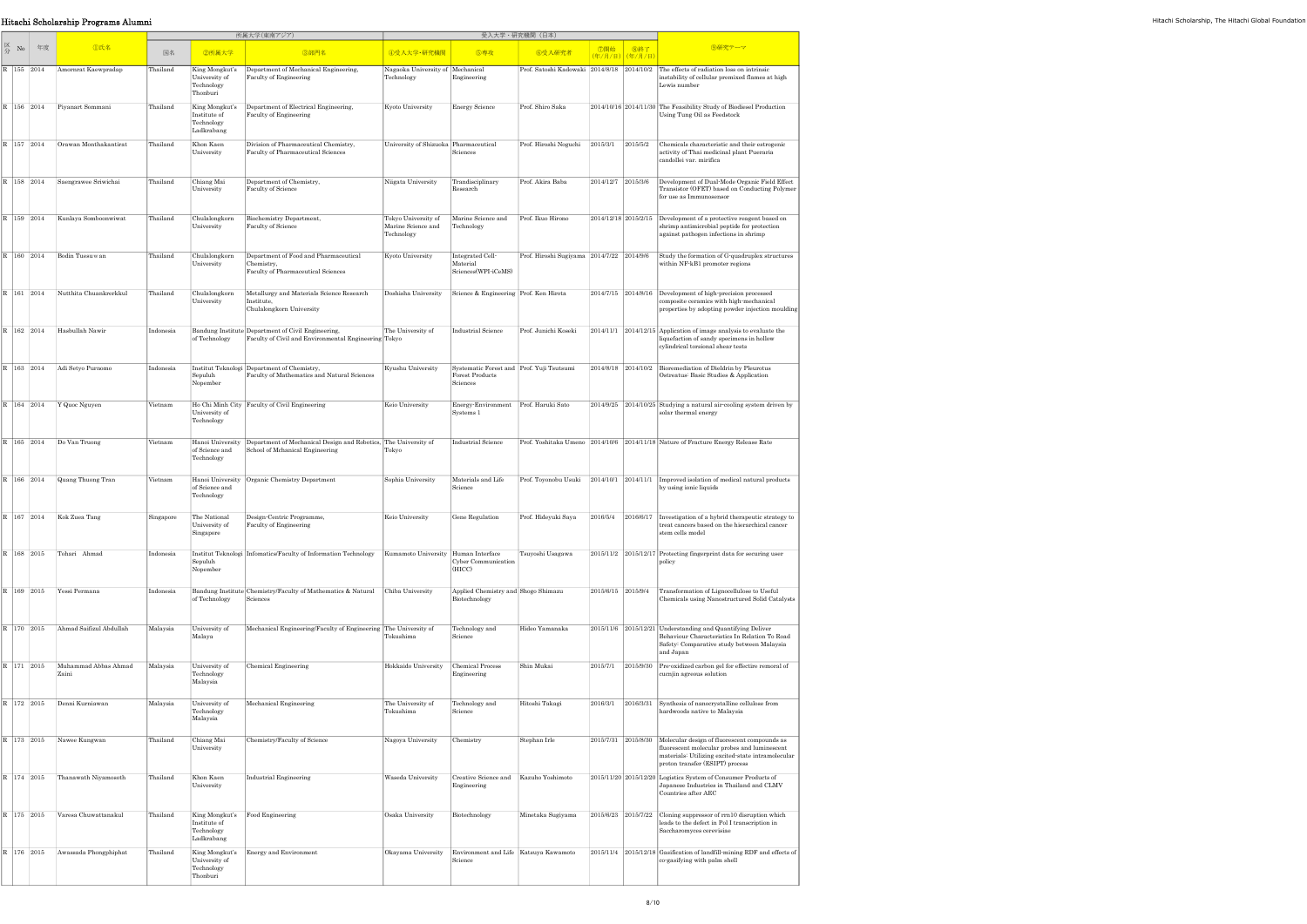|                                      | Hitachi Scholarship Programs Alumni    |           |                                                            |                                                                                                                          |                                                                    |                                                                          |                                             |                    |                                            |                                                                                                                                                                                                          |
|--------------------------------------|----------------------------------------|-----------|------------------------------------------------------------|--------------------------------------------------------------------------------------------------------------------------|--------------------------------------------------------------------|--------------------------------------------------------------------------|---------------------------------------------|--------------------|--------------------------------------------|----------------------------------------------------------------------------------------------------------------------------------------------------------------------------------------------------------|
|                                      |                                        |           |                                                            | 所属大学(東南アジア)                                                                                                              |                                                                    |                                                                          | 受入大学·研究機関 (日本)                              |                    |                                            |                                                                                                                                                                                                          |
| $\mathbb{Z}_{\leftrightarrow}$ No 年度 | <b>①氏名</b>                             | 国名        | 2所属大学                                                      | 3部門名                                                                                                                     | 4受入大学·研究機関                                                         | 5専攻                                                                      | 6受入研究者                                      |                    | <mark>  ⑦開始   ⑧終了</mark><br>(年/月/日) (年/月/日 | 9研究テーマ                                                                                                                                                                                                   |
|                                      | R   155   2014   Amornrat Kaewpradap   | Thailand  | University of<br>Technology<br>Thonburi                    | King Mongkut's  Department of Mechanical Engineering,<br>Faculty of Engineering                                          | Nagaoka University of Mechanical<br>Technology                     | Engineering                                                              |                                             |                    |                                            | Prof. Satoshi Kadowaki 2014/8/18 2014/10/2 The effects of radiation loss on intrinsic<br>instability of cellular premixed flames at high<br>Lewis number                                                 |
|                                      | R   156   2014   Piyanart Sommani      | Thailand  | King Mongkut's<br>Institute of<br>Technology<br>Ladkrabang | Department of Electrical Engineering,<br>Faculty of Engineering                                                          | Kyoto University                                                   | <b>Energy Science</b>                                                    | Prof. Shiro Saka                            |                    |                                            | 2014/10/16 2014/11/30 The Feasibility Study of Biodiesel Production<br>Using Tung Oil as Feedstock                                                                                                       |
|                                      | R   157   2014   Orawan Monthakantirat | Thailand  | Khon Kaen<br>University                                    | Division of Pharmaceutical Chemistry,<br>Faculty of Pharmaceutical Sciences                                              | University of Shizuoka Pharmaceutical                              | Sciences                                                                 | Prof. Hiroshi Noguchi   2015/3/1   2015/5/2 |                    |                                            | Chemicals characteristic and their estrogenic<br>activity of Thai medicinal plant Pueraria<br>candollei var. mirifica                                                                                    |
|                                      | R   158   2014   Saengrawee Sriwichai  | Thailand  | Chiang Mai<br>University                                   | Department of Chemistry,<br>Faculty of Science                                                                           | Niigata University                                                 | Trandisciplinary<br>Research                                             | Prof. Akira Baba                            | 2014/12/7 2015/3/6 |                                            | Development of Dual-Mode Organic Field Effect<br>Transistor (OFET) based on Conducting Polymer<br>for use as Immunosensor                                                                                |
| R 159 2014                           | Kunlaya Somboonwiwat                   | Thailand  | Chulalongkorn<br>University                                | Biochemistry Department,<br>Faculty of Science                                                                           | Tokyo University of<br>Marine Science and Technology<br>Technology | Marine Science and                                                       | Prof. Ikuo Hirono                           |                    |                                            | $2014/12/18$ 2015/2/15 Development of a protective reagent based on<br>shrimp antimicrobial peptide for protection<br>against pathogen infections in shrimp                                              |
|                                      | R   160   2014   Bodin Tuesuwan        | Thailand  | Chulalongkorn<br>University                                | Department of Food and Pharmaceutical<br>Chemistry,<br>Faculty of Pharmaceutical Sciences                                | Kyoto University                                                   | Integrated Cell-<br>Material<br>Sciences(WPI-iCeMS)                      | Prof. Hiroshi Sugiyama 2014/7/22 2014/9/6   |                    |                                            | Study the formation of G-quadruplex structures<br>within NF-kB1 promoter regions                                                                                                                         |
|                                      | R 161 2014 Nutthita Chuankrerkkul      | Thailand  | Chulalongkorn<br>University                                | Metallurgy and Materials Science Research<br>Institute,<br>Chulalongkorn University                                      |                                                                    | Doshisha University Science & Engineering Prof. Ken Hirota               |                                             |                    |                                            | $2014/7/15$ 2014/8/16 Development of high-precision processed<br>composite ceramics with high-mechanical<br>properties by adopting powder injection moulding                                             |
|                                      | 162 2014 Hasbullah Nawir               | Indonesia |                                                            | Bandung Institute Department of Civil Engineering,<br>of Technology Faculty of Civil and Environmental Engineering Tokyo | The University of                                                  | Industrial Science                                                       | Prof. Junichi Koseki                        |                    |                                            | $2014/11/1$ $2014/12/15$ Application of image analysis to evaluate the<br>liquefaction of sandy specimens in hollow<br>cylindrical torsional shear tests                                                 |
|                                      | R   163   2014   Adi Setyo Purnomo     | Indonesia | Sepuluh<br>Nopember                                        | Institut Teknologi Department of Chemistry,<br>Faculty of Mathematics and Natural Sciences                               | Kyushu University                                                  | Systematic Forest and Prof. Yuji Tsutsumi<br>Forest Products<br>Sciences |                                             |                    |                                            | 2014/8/18 2014/10/2 Bioremediation of Dieldrin by Pleurotus<br>Ostreatus: Basic Studies & Application                                                                                                    |
|                                      | R   164   2014   Y Quoc Nguyen         | Vietnam   | University of<br>Technology                                | Ho Chi Minh City Faculty of Civil Engineering                                                                            | Keio University                                                    | Energy-Environment Prof. Haruki Sato<br>Systems 1                        |                                             |                    |                                            | $2014/9/25$ 2014/10/25 Studying a natural air-cooling system driven by<br>solar thermal energy                                                                                                           |
|                                      | R   165   2014   Do Van Truong         | Vietnam   | of Science and<br>Technology                               | Hanoi University Department of Mechanical Design and Robotics, The University of<br>School of Mchanical Engineering      | Tokyo                                                              | Industrial Science                                                       |                                             |                    |                                            | Prof. Yoshitaka Umeno 2014/10/6 2014/11/18 Nature of Fracture Energy Release Rate                                                                                                                        |
|                                      | R   166   2014   Quang Thuong Tran     | Vietnam   | of Science and<br>Technology                               | Hanoi University Organic Chemistry Department                                                                            | Sophia University                                                  | Materials and Life<br>Science                                            |                                             |                    |                                            | Prof. Toyonobu Usuki 2014/10/1 2014/11/1 Improved isolation of medical natural products<br>by using ionic liquids                                                                                        |
|                                      | R   167   2014   Kok Zuea Tang         | Singapore | The National<br>University of<br>Singapore                 | Design-Centric Programme,<br>Faculty of Engineering                                                                      | Keio University                                                    | Gene Regulation                                                          | Prof. Hideyuki Saya                         |                    |                                            | $2016/5/4$ 2016/6/17 Investigation of a hybrid therapeutic strategy to<br>treat cancers based on the hierarchical cancer<br>stem cells model                                                             |
| R 168 2015                           | Tohari Ahmad                           | Indonesia | Sepuluh<br>Nopember                                        | Institut Teknologi Informatics/Faculty of Information Technology Kumamoto University Human Interface                     |                                                                    | Cyber Communication<br>(HICC)                                            | Tsuyoshi Usagawa                            |                    |                                            | 2015/11/2 2015/12/17 Protecting fingerprint data for securing user<br>policy                                                                                                                             |
|                                      | R   169   2015   Yessi Permana         | Indonesia | of Technology                                              | Bandung Institute Chemistry/Faculty of Mathematics & Natural<br>Sciences                                                 | Chiba University                                                   | Applied Chemistry and Shogo Shimazu<br>Biotechnology                     |                                             | 2015/6/15 2015/9/4 |                                            | Transformation of Lignocellulose to Useful<br>Chemicals using Nanostructured Solid Catalysts                                                                                                             |
| R 170 2015                           | Ahmad Saifizul Abdullah                | Malaysia  | University of<br>Malaya                                    | Mechanical Engineering/Faculty of Engineering The University of                                                          | Tokushima                                                          | Technology and<br>Science                                                | Hideo Yamanaka                              |                    |                                            | 2015/11/6 2015/12/21 Understanding and Quantifying Deliver<br>Behaviour Characteristics In Relation To Road<br>Safety: Comparative study between Malaysia<br>and Japan                                   |
| R 171 2015                           | Muhammad Abbas Ahmad<br>Zaini          | Malaysia  | University of<br>Technology<br>Malaysia                    | Chemical Engineering                                                                                                     | Hokkaido University Chemical Process                               | Engineering                                                              | Shin Mukai                                  |                    |                                            | 2015/7/1 2015/9/30 Pre-oxidized carbon gel for effectire remoral of<br>cucnjin agreous solution                                                                                                          |
|                                      | R   172   2015   Denni Kurniawan       | Malaysia  | University of<br>Technology<br>Malaysia                    | Mechanical Engineering                                                                                                   | The University of<br>Tokushima                                     | Technology and<br>Science                                                | Hitoshi Takagi                              | 2016/3/1           |                                            | 2016/3/31 Synthesis of nanocrystalline cellulose from<br>hardwoods native to Malaysia                                                                                                                    |
|                                      | R   173   2015   Nawee Kungwan         | Thailand  | Chiang Mai<br>University                                   | Chemistry/Faculty of Science                                                                                             | Nagoya University                                                  | Chemistry                                                                | Stephan Irle                                |                    |                                            | 2015/7/31 2015/8/30 Molecular design of fluorescent compounds as<br>fluorescent molecular probes and luminescent<br>materials: Utilizing excited-state intramolecular<br>proton transfer (ESIPT) process |
|                                      | R   174   2015   Thanawath Niyamosoth  | Thailand  | Khon Kaen<br>University                                    | Industrial Engineering                                                                                                   | Waseda University                                                  | Creative Science and Kazuho Yoshimoto<br>Engineering                     |                                             |                    |                                            | $2015/11/20$ 2015/12/20 Logistics System of Consumer Products of<br>Japanese Industries in Thailand and CLMV<br>Countries after AEC                                                                      |
|                                      | R   175   2015   Varesa Chuwattanakul  | Thailand  | Institute of<br>Technology<br>Ladkrabang                   | King Mongkut's Food Engineering                                                                                          | Osaka University                                                   | Biotechnology                                                            | Minetaka Sugiyama                           |                    |                                            | 2015/6/23 2015/7/22 Cloning suppressor of rrn10 disruption which<br>leads to the defect in Pol I transcription in<br>Saccharomyces cerevisiae                                                            |
|                                      | R   176   2015   Awassada Phongphiphat | Thailand  | University of<br>Technology<br>Thonburi                    | King Mongkut's   Energy and Environment                                                                                  |                                                                    | Okayama University Environment and Life Katsuya Kawamoto<br>Science      |                                             |                    |                                            | 2015/11/4 2015/12/18 Gasification of landfill-mining RDF and effects of<br>co-gasifying with palm shell                                                                                                  |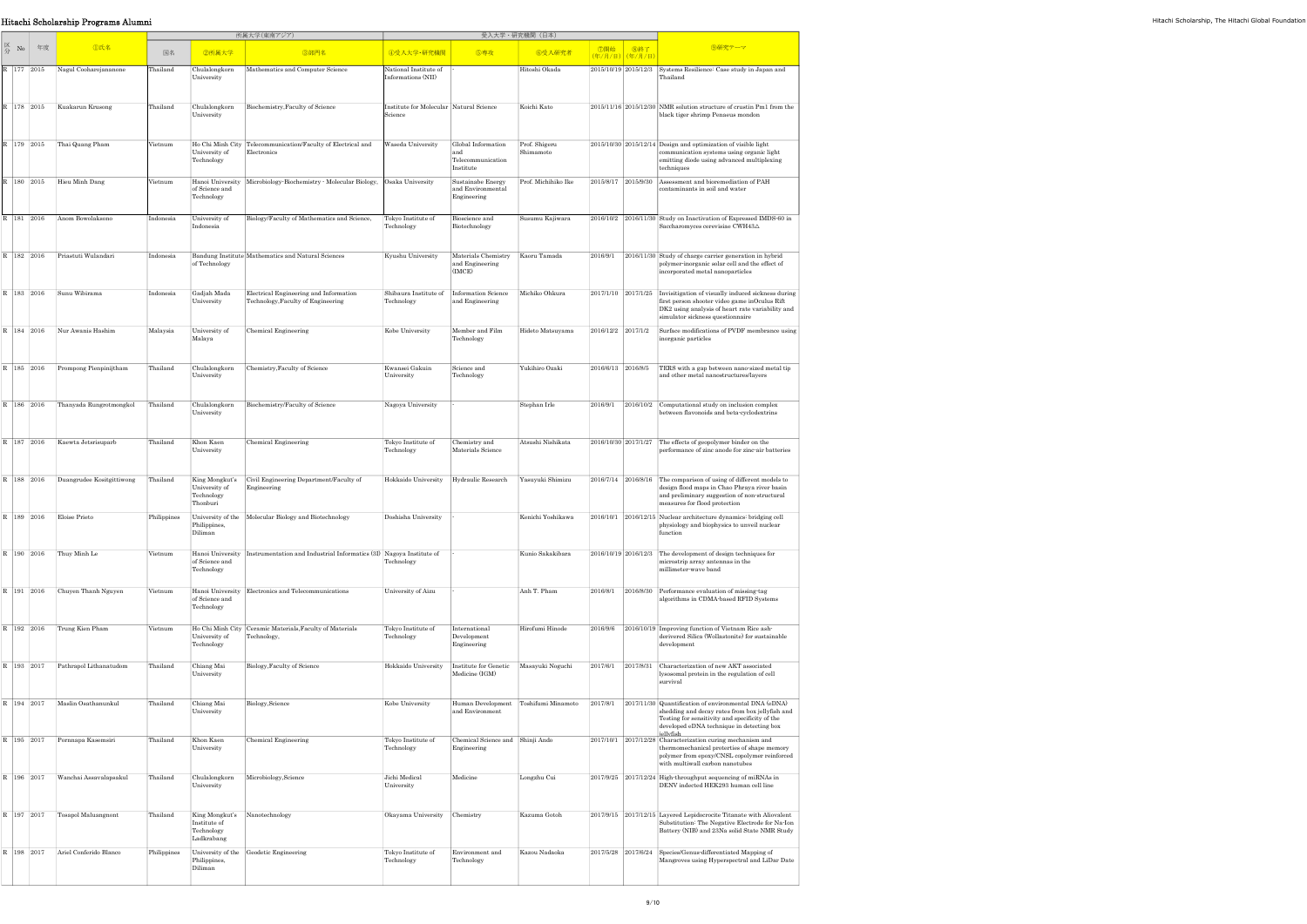| Hitachi Scholarship Programs Alumni |            |                                         |             |                                          |                                                                                      |                                                         |                                                                                  |                            |          |                                             |                                                                                                                                                                                                                                                                    |  |
|-------------------------------------|------------|-----------------------------------------|-------------|------------------------------------------|--------------------------------------------------------------------------------------|---------------------------------------------------------|----------------------------------------------------------------------------------|----------------------------|----------|---------------------------------------------|--------------------------------------------------------------------------------------------------------------------------------------------------------------------------------------------------------------------------------------------------------------------|--|
|                                     |            |                                         |             |                                          | 所属大学(東南アジア)                                                                          | 受入大学・研究機関(日本)                                           |                                                                                  |                            |          |                                             |                                                                                                                                                                                                                                                                    |  |
|                                     | No 年度      | <b>D氏名</b>                              | 国名          | 2所属大学                                    | 3部門名                                                                                 | 4受入大学·研究機関                                              | 5専攻                                                                              | 6受入研究者                     |          | │ ⑦開始 │ ⑧終了<br><mark>(年/月/日)</mark> (年/月/日) | 9研究テーマ                                                                                                                                                                                                                                                             |  |
|                                     |            | R   177   2015   Nagul Cooharojananone  | Thailand    | Chulalongkorn<br>University              | Mathematics and Computer Science                                                     | National Institute of<br>Informations (NII)             |                                                                                  | Hitoshi Okada              |          |                                             | 2015/10/19 2015/12/3 Systems Resilience: Case study in Japan and<br>Thailand                                                                                                                                                                                       |  |
|                                     |            | R   178   2015   Kuakarun Krusong       | Thailand    | Chulalongkorn<br>University              | Biochemistry, Faculty of Science                                                     | Institute for Molecular Natural Science<br>Science      |                                                                                  | Koichi Kato                |          |                                             | 2015/11/16 2015/12/30 NMR solution structure of crustin Pm1 from the<br>black tiger shrimp Penaeus mondon                                                                                                                                                          |  |
|                                     |            | R   179   2015 Thai Quang Pham          | Vietnum     | University of<br>Technology              | Ho Chi Minh City Telecommunication/Faculty of Electrical and<br>Electronics          | Waseda University                                       | Global Information<br>and<br>Telecommunication<br>Institute                      | Prof. Shigeru<br>Shimamoto |          |                                             | $2015/10/30$ 2015/12/14 Design and optimization of visible light<br>communication systems using organic light<br>emitting diode using advanced multiplexing<br>techniques                                                                                          |  |
|                                     |            | $180 \quad 2015$ Hieu Minh Dang         | Vietnum     | of Science and<br>Technology             | Hanoi University Microbiology Biochemistry Molecular Biology, Osaka University       |                                                         | Sustainabe Energy<br>and Environmental<br>Engineering                            | Prof. Michihiko Ike        |          |                                             | 2015/8/17 2015/9/30 Assessment and bioremediation of PAH<br>contaminants in soil and water                                                                                                                                                                         |  |
|                                     |            | R   181   2016   Anom Bowolaksono       | Indonesia   | University of<br>Indonesia               | Biology/Faculty of Mathematics and Science,                                          | Tokyo Institute of<br>Technology                        | Bioscience and<br>Biotechnology                                                  | Susumu Kajiwara            |          |                                             | 2016/10/2 2016/11/30 Study on Inactivation of Expressed IMDS-60 in<br>Saccharomyces cerevisiae CWH43△                                                                                                                                                              |  |
|                                     |            | 182   2016   Priastuti Wulandari        | Indonesia   | of Technology                            | Bandung Institute Mathematics and Natural Sciences                                   | Kyushu University                                       | Materials Chemistry Kaoru Tamada<br>and Engineering<br>(IMCE)                    |                            | 2016/9/1 |                                             | 2016/11/30 Study of charge carrier generation in hybrid<br>polymer-inorganic solar cell and the effect of<br>incorporated metal nanoparticles                                                                                                                      |  |
|                                     |            | 183 2016 Sunu Wibirama                  | Indonesia   | Gadjah Mada<br>University                | Electrical Engineering and Information<br>Technology, Faculty of Engineering         | Shibaura Institute of Information Science<br>Technology | and Engineering                                                                  | Michiko Ohkura             |          |                                             | 2017/1/10 2017/1/25 Invisitigation of visually induced sickness during<br>first person shooter video game inOculus Rift<br>DK2 using analysis of heart rate variability and<br>simulator sickness questionnaire                                                    |  |
|                                     |            | R   184   2016   Nur Awanis Hashim      | Malaysia    | University of<br>Malaya                  | Chemical Engineering                                                                 | Kobe University                                         | Member and Film<br>Technology                                                    | Hideto Matsuyama           |          |                                             | $2016/12/2$ $2017/1/2$ Surface modifications of PVDF membrance using<br>inorganic particles                                                                                                                                                                        |  |
|                                     |            | 185 2016 Prompong Pienpinijtham         | Thailand    | Chulalongkorn<br>University              | Chemistry, Faculty of Science                                                        | Kwansei Gakuin<br>University                            | Science and<br>Technology                                                        | Yukihiro Ozaki             |          |                                             | 2016/6/13 2016/8/5 TERS with a gap between nano-sized metal tip<br>and other metal nanostructures/layers                                                                                                                                                           |  |
|                                     | $186$ 2016 | Thanyada Rungrotmongkol                 | Thailand    | Chulalongkorn<br>University              | Biochemistry/Faculty of Science                                                      | Nagoya University                                       |                                                                                  | Stephan Irle               | 2016/9/1 |                                             | 2016/10/2 Computational study on inclusion complex<br>between flavonoids and beta-cyclodextrins                                                                                                                                                                    |  |
|                                     |            | R   187   2016   Kaewta Jetsrisuparb    | Thailand    | Khon Kaen<br>University                  | Chemical Engineering                                                                 | Tokyo Institute of<br>Technology                        | Chemistry and<br>Materials Science                                               | Atsushi Nishikata          |          |                                             | 2016/10/30 2017/1/27 The effects of geopolymer binder on the<br>performance of zinc anode for zinc air batteries                                                                                                                                                   |  |
|                                     |            | 188 2016 Duangrudee Kositgittiwong      | Thailand    | University of<br>Technology<br>Thonburi  | King Mongkut's Civil Engineering Department/Faculty of<br>Engineering                |                                                         | Hokkaido University Hydraulic Research                                           | Yasuyuki Shimizu           |          |                                             | 2016/7/14 2016/8/16 The comparison of using of different models to<br>design flood maps in Chao Phraya river basin<br>and preliminary suggestion of non-structural<br>measures for flood protection                                                                |  |
|                                     | 189 2016   | Eloise Prieto                           | Philippines | Philippines,<br>Diliman                  | University of the Molecular Biology and Biotechnology                                | Doshisha University                                     |                                                                                  | Kenichi Yoshikawa          |          |                                             | 2016/10/1 2016/12/15 Nuclear architecture dynamics bridging cell<br>physiology and biophysics to unveil nuclear<br>function                                                                                                                                        |  |
|                                     |            | R   190   2016   Thuy Minh Le           | Vietnum     | of Science and<br>Technology             | Hanoi University Instrumentation and Industrial Informatics (31) Nagoya Institute of | Technology                                              |                                                                                  | Kunio Sakakibara           |          |                                             | 2016/10/19 2016/12/3 The development of design techniques for<br>microstrip array antennas in the<br>millimeter-wave band                                                                                                                                          |  |
|                                     |            | R   191   2016   Chuyen Thanh Nguyen    | Vietnum     | of Science and<br>Technology             | Hanoi University Electronics and Telecommunications                                  | University of Aizu                                      |                                                                                  | Anh T. Pham                |          |                                             | 2016/8/1 2016/8/30 Performance evaluation of missing-tag<br>algorithms in CDMA-based RFID Systems                                                                                                                                                                  |  |
|                                     |            | 192 2016 Trung Kien Pham                | Vietnum     | University of<br>Technology              | Ho Chi Minh City Ceramic Materials, Faculty of Materials<br>Technology,              | Tokyo Institute of<br>Technology                        | International<br>Development<br>Engineering                                      | Hirofumi Hinode            |          |                                             | 2016/9/6 2016/10/19 Improving function of Vietnam Rice ash-<br>derivered Silica (Wollastonite) for sustainable<br>development                                                                                                                                      |  |
|                                     |            | R   193   2017   Pathrapol Lithanatudom | Thailand    | Chiang Mai<br>University                 | Biology, Faculty of Science                                                          |                                                         | Hokkaido University   Institute for Genetic   Masayuki Noguchi<br>Medicine (IGM) |                            |          |                                             | 2017/6/1 2017/8/31 Characterization of new AKT associated<br>lysosomal protein in the regulation of cell<br>survival                                                                                                                                               |  |
|                                     |            | 194   2017   Maslin Osathanunkul        | Thailand    | Chiang Mai<br>University                 | Biology, Science                                                                     | Kobe University                                         | and Environment                                                                  |                            |          |                                             | Human Development Toshifumi Minamoto 2017/8/1 2017/11/30 Quantification of environmental DNA (eDNA)<br>shedding and decay rates from box jellyfish and<br>Testing for sensitivity and specificity of the<br>developed eDNA technique in detecting box<br>iellvfish |  |
|                                     | $195$ 2017 | Pornnapa Kasemsiri                      | Thailand    | Khon Kaen<br>University                  | Chemical Engineering                                                                 | Tokyo Institute of<br>Technology                        | Chemical Science and Shinji Ando<br>Engineering                                  |                            |          |                                             | 2017/10/1 2017/12/28 Characterization curing mechanism and<br>thermomechanical proterties of shape memory<br>polymer from epoxy/CNSL copolymer reinforced<br>with multiwall carbon nanotubes                                                                       |  |
|                                     |            | R   196   2017   Wanchai Assavalapsakul | Thailand    | Chulalongkorn<br>University              | Microbiology, Science                                                                | Jichi Medical<br>University                             | Medicine                                                                         | Longzhu Cui                |          |                                             | 2017/9/25 2017/12/24 High-throughput sequencing of miRNAs in<br>DENV indected HEK293 human cell line                                                                                                                                                               |  |
|                                     |            | 197   2017   Tosapol Maluangnont        | Thailand    | Institute of<br>Technology<br>Ladkrabang | King Mongkut's Nanotechnology                                                        | Okayama University Chemistry                            |                                                                                  | Kazuma Gotoh               |          |                                             | 2017/9/15 2017/12/15 Layered Lepidocrocite Titanate with Aliovalent<br>Substitution: The Negative Electrode for Na-Ion<br>Battery (NIB) and 23Na solid State NMR Study                                                                                             |  |
|                                     | 198 2017   | Ariel Conferido Blanco                  | Philippines | Philippines,<br>Diliman                  | University of the Geodetic Engineering                                               | Tokyo Institute of<br>Technology                        | Environment and<br>Technology                                                    | Kazou Nadaoka              |          |                                             | 2017/5/28 2017/6/24 Species/Genus-differentiated Mapping of<br>Mangroves using Hyperspectral and LiDar Date                                                                                                                                                        |  |